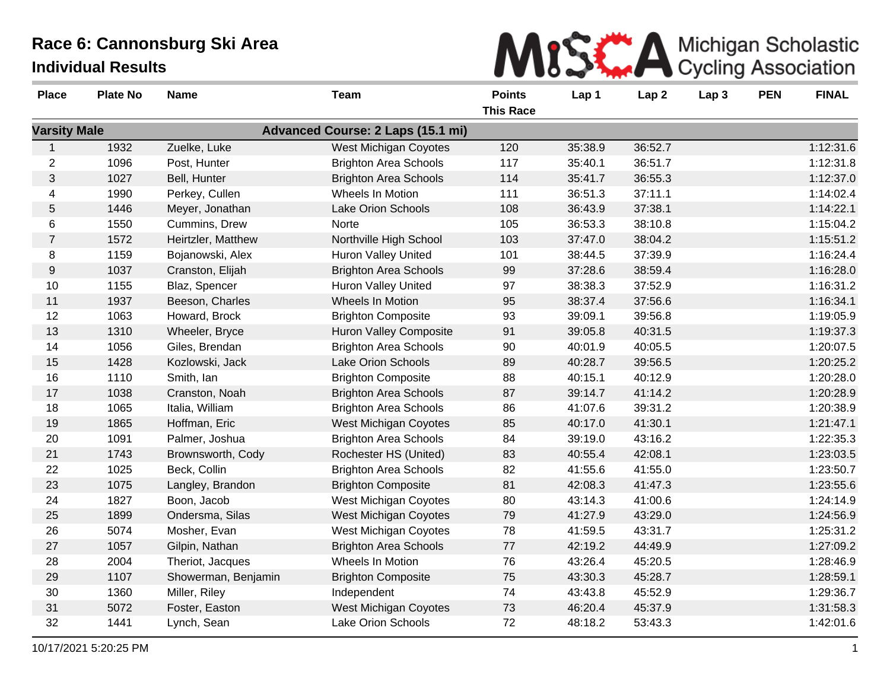| MISK A Michigan Scholastic |
|----------------------------|
|                            |

| <b>Place</b>        | <b>Plate No</b> | <b>Name</b>         | Team                                     | <b>Points</b><br><b>This Race</b> | Lap 1   | Lap <sub>2</sub> | Lap <sub>3</sub> | <b>PEN</b> | <b>FINAL</b> |
|---------------------|-----------------|---------------------|------------------------------------------|-----------------------------------|---------|------------------|------------------|------------|--------------|
| <b>Varsity Male</b> |                 |                     | <b>Advanced Course: 2 Laps (15.1 mi)</b> |                                   |         |                  |                  |            |              |
|                     | 1932            | Zuelke, Luke        | West Michigan Coyotes                    | 120                               | 35:38.9 | 36:52.7          |                  |            | 1:12:31.6    |
| $\overline{2}$      | 1096            | Post, Hunter        | <b>Brighton Area Schools</b>             | 117                               | 35:40.1 | 36:51.7          |                  |            | 1:12:31.8    |
| 3                   | 1027            | Bell, Hunter        | <b>Brighton Area Schools</b>             | 114                               | 35:41.7 | 36:55.3          |                  |            | 1:12:37.0    |
| 4                   | 1990            | Perkey, Cullen      | Wheels In Motion                         | 111                               | 36:51.3 | 37:11.1          |                  |            | 1:14:02.4    |
| $\mathbf 5$         | 1446            | Meyer, Jonathan     | Lake Orion Schools                       | 108                               | 36:43.9 | 37:38.1          |                  |            | 1:14:22.1    |
| 6                   | 1550            | Cummins, Drew       | Norte                                    | 105                               | 36:53.3 | 38:10.8          |                  |            | 1:15:04.2    |
| $\overline{7}$      | 1572            | Heirtzler, Matthew  | Northville High School                   | 103                               | 37:47.0 | 38:04.2          |                  |            | 1:15:51.2    |
| 8                   | 1159            | Bojanowski, Alex    | <b>Huron Valley United</b>               | 101                               | 38:44.5 | 37:39.9          |                  |            | 1:16:24.4    |
| 9                   | 1037            | Cranston, Elijah    | <b>Brighton Area Schools</b>             | 99                                | 37:28.6 | 38:59.4          |                  |            | 1:16:28.0    |
| 10                  | 1155            | Blaz, Spencer       | <b>Huron Valley United</b>               | 97                                | 38:38.3 | 37:52.9          |                  |            | 1:16:31.2    |
| 11                  | 1937            | Beeson, Charles     | Wheels In Motion                         | 95                                | 38:37.4 | 37:56.6          |                  |            | 1:16:34.1    |
| 12                  | 1063            | Howard, Brock       | <b>Brighton Composite</b>                | 93                                | 39:09.1 | 39:56.8          |                  |            | 1:19:05.9    |
| 13                  | 1310            | Wheeler, Bryce      | <b>Huron Valley Composite</b>            | 91                                | 39:05.8 | 40:31.5          |                  |            | 1:19:37.3    |
| 14                  | 1056            | Giles, Brendan      | <b>Brighton Area Schools</b>             | 90                                | 40:01.9 | 40:05.5          |                  |            | 1:20:07.5    |
| 15                  | 1428            | Kozlowski, Jack     | Lake Orion Schools                       | 89                                | 40:28.7 | 39:56.5          |                  |            | 1:20:25.2    |
| 16                  | 1110            | Smith, Ian          | <b>Brighton Composite</b>                | 88                                | 40:15.1 | 40:12.9          |                  |            | 1:20:28.0    |
| 17                  | 1038            | Cranston, Noah      | <b>Brighton Area Schools</b>             | 87                                | 39:14.7 | 41:14.2          |                  |            | 1:20:28.9    |
| 18                  | 1065            | Italia, William     | <b>Brighton Area Schools</b>             | 86                                | 41:07.6 | 39:31.2          |                  |            | 1:20:38.9    |
| 19                  | 1865            | Hoffman, Eric       | West Michigan Coyotes                    | 85                                | 40:17.0 | 41:30.1          |                  |            | 1:21:47.1    |
| 20                  | 1091            | Palmer, Joshua      | <b>Brighton Area Schools</b>             | 84                                | 39:19.0 | 43:16.2          |                  |            | 1:22:35.3    |
| 21                  | 1743            | Brownsworth, Cody   | Rochester HS (United)                    | 83                                | 40:55.4 | 42:08.1          |                  |            | 1:23:03.5    |
| 22                  | 1025            | Beck, Collin        | <b>Brighton Area Schools</b>             | 82                                | 41:55.6 | 41:55.0          |                  |            | 1:23:50.7    |
| 23                  | 1075            | Langley, Brandon    | <b>Brighton Composite</b>                | 81                                | 42:08.3 | 41:47.3          |                  |            | 1:23:55.6    |
| 24                  | 1827            | Boon, Jacob         | West Michigan Coyotes                    | 80                                | 43:14.3 | 41:00.6          |                  |            | 1:24:14.9    |
| 25                  | 1899            | Ondersma, Silas     | <b>West Michigan Coyotes</b>             | 79                                | 41:27.9 | 43:29.0          |                  |            | 1:24:56.9    |
| 26                  | 5074            | Mosher, Evan        | <b>West Michigan Coyotes</b>             | 78                                | 41:59.5 | 43:31.7          |                  |            | 1:25:31.2    |
| 27                  | 1057            | Gilpin, Nathan      | <b>Brighton Area Schools</b>             | 77                                | 42:19.2 | 44:49.9          |                  |            | 1:27:09.2    |
| 28                  | 2004            | Theriot, Jacques    | Wheels In Motion                         | 76                                | 43:26.4 | 45:20.5          |                  |            | 1:28:46.9    |
| 29                  | 1107            | Showerman, Benjamin | <b>Brighton Composite</b>                | 75                                | 43:30.3 | 45:28.7          |                  |            | 1:28:59.1    |
| 30                  | 1360            | Miller, Riley       | Independent                              | 74                                | 43:43.8 | 45:52.9          |                  |            | 1:29:36.7    |
| 31                  | 5072            | Foster, Easton      | West Michigan Coyotes                    | 73                                | 46:20.4 | 45:37.9          |                  |            | 1:31:58.3    |
| 32                  | 1441            | Lynch, Sean         | Lake Orion Schools                       | 72                                | 48:18.2 | 53:43.3          |                  |            | 1:42:01.6    |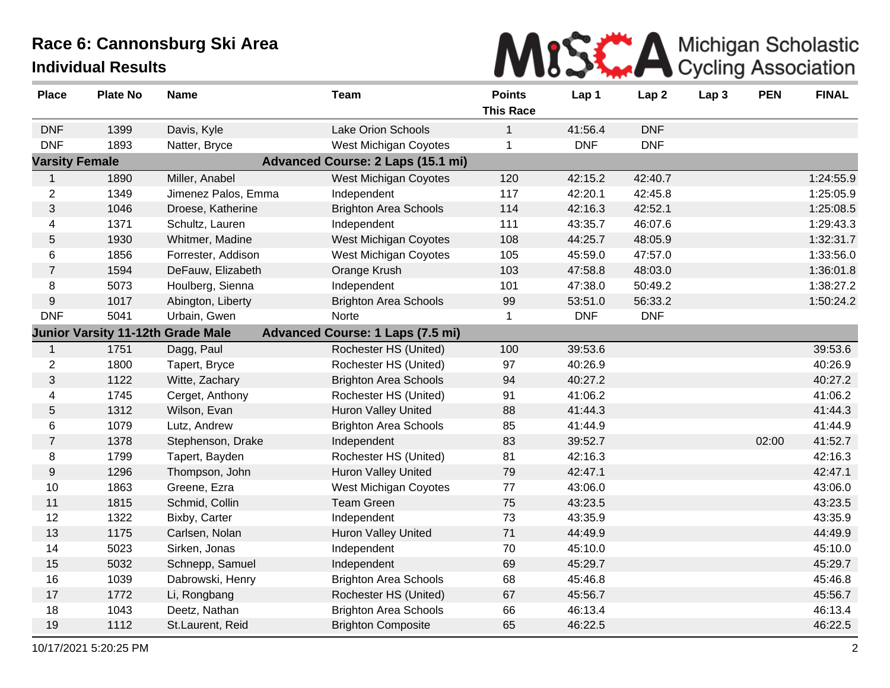

| <b>Place</b>          | <b>Plate No</b> | <b>Name</b>                              | <b>Team</b>                              | <b>Points</b><br><b>This Race</b> | Lap 1      | Lap <sub>2</sub> | Lap 3 | <b>PEN</b> | <b>FINAL</b> |
|-----------------------|-----------------|------------------------------------------|------------------------------------------|-----------------------------------|------------|------------------|-------|------------|--------------|
| <b>DNF</b>            | 1399            | Davis, Kyle                              | <b>Lake Orion Schools</b>                | $\mathbf{1}$                      | 41:56.4    | <b>DNF</b>       |       |            |              |
| <b>DNF</b>            | 1893            | Natter, Bryce                            | <b>West Michigan Coyotes</b>             | $\mathbf 1$                       | <b>DNF</b> | <b>DNF</b>       |       |            |              |
| <b>Varsity Female</b> |                 |                                          | <b>Advanced Course: 2 Laps (15.1 mi)</b> |                                   |            |                  |       |            |              |
| $\mathbf{1}$          | 1890            | Miller, Anabel                           | West Michigan Coyotes                    | 120                               | 42:15.2    | 42:40.7          |       |            | 1:24:55.9    |
| $\overline{2}$        | 1349            | Jimenez Palos, Emma                      | Independent                              | 117                               | 42:20.1    | 42:45.8          |       |            | 1:25:05.9    |
| $\mathfrak{S}$        | 1046            | Droese, Katherine                        | <b>Brighton Area Schools</b>             | 114                               | 42:16.3    | 42:52.1          |       |            | 1:25:08.5    |
| 4                     | 1371            | Schultz, Lauren                          | Independent                              | 111                               | 43:35.7    | 46:07.6          |       |            | 1:29:43.3    |
| 5                     | 1930            | Whitmer, Madine                          | West Michigan Coyotes                    | 108                               | 44:25.7    | 48:05.9          |       |            | 1:32:31.7    |
| 6                     | 1856            | Forrester, Addison                       | West Michigan Coyotes                    | 105                               | 45:59.0    | 47:57.0          |       |            | 1:33:56.0    |
| $\overline{7}$        | 1594            | DeFauw, Elizabeth                        | Orange Krush                             | 103                               | 47:58.8    | 48:03.0          |       |            | 1:36:01.8    |
| 8                     | 5073            | Houlberg, Sienna                         | Independent                              | 101                               | 47:38.0    | 50:49.2          |       |            | 1:38:27.2    |
| 9                     | 1017            | Abington, Liberty                        | <b>Brighton Area Schools</b>             | 99                                | 53:51.0    | 56:33.2          |       |            | 1:50:24.2    |
| <b>DNF</b>            | 5041            | Urbain, Gwen                             | Norte                                    | 1                                 | <b>DNF</b> | <b>DNF</b>       |       |            |              |
|                       |                 | <b>Junior Varsity 11-12th Grade Male</b> | <b>Advanced Course: 1 Laps (7.5 mi)</b>  |                                   |            |                  |       |            |              |
| 1                     | 1751            | Dagg, Paul                               | Rochester HS (United)                    | 100                               | 39:53.6    |                  |       |            | 39:53.6      |
| $\overline{2}$        | 1800            | Tapert, Bryce                            | Rochester HS (United)                    | 97                                | 40:26.9    |                  |       |            | 40:26.9      |
| 3                     | 1122            | Witte, Zachary                           | <b>Brighton Area Schools</b>             | 94                                | 40:27.2    |                  |       |            | 40:27.2      |
| 4                     | 1745            | Cerget, Anthony                          | Rochester HS (United)                    | 91                                | 41:06.2    |                  |       |            | 41:06.2      |
| 5                     | 1312            | Wilson, Evan                             | Huron Valley United                      | 88                                | 41:44.3    |                  |       |            | 41:44.3      |
| 6                     | 1079            | Lutz, Andrew                             | <b>Brighton Area Schools</b>             | 85                                | 41:44.9    |                  |       |            | 41:44.9      |
| $\overline{7}$        | 1378            | Stephenson, Drake                        | Independent                              | 83                                | 39:52.7    |                  |       | 02:00      | 41:52.7      |
| 8                     | 1799            | Tapert, Bayden                           | Rochester HS (United)                    | 81                                | 42:16.3    |                  |       |            | 42:16.3      |
| 9                     | 1296            | Thompson, John                           | <b>Huron Valley United</b>               | 79                                | 42:47.1    |                  |       |            | 42:47.1      |
| 10                    | 1863            | Greene, Ezra                             | West Michigan Coyotes                    | 77                                | 43:06.0    |                  |       |            | 43:06.0      |
| 11                    | 1815            | Schmid, Collin                           | <b>Team Green</b>                        | 75                                | 43:23.5    |                  |       |            | 43:23.5      |
| 12                    | 1322            | Bixby, Carter                            | Independent                              | 73                                | 43:35.9    |                  |       |            | 43:35.9      |
| 13                    | 1175            | Carlsen, Nolan                           | <b>Huron Valley United</b>               | 71                                | 44:49.9    |                  |       |            | 44:49.9      |
| 14                    | 5023            | Sirken, Jonas                            | Independent                              | 70                                | 45:10.0    |                  |       |            | 45:10.0      |
| 15                    | 5032            | Schnepp, Samuel                          | Independent                              | 69                                | 45:29.7    |                  |       |            | 45:29.7      |
| 16                    | 1039            | Dabrowski, Henry                         | <b>Brighton Area Schools</b>             | 68                                | 45:46.8    |                  |       |            | 45:46.8      |
| 17                    | 1772            | Li, Rongbang                             | Rochester HS (United)                    | 67                                | 45:56.7    |                  |       |            | 45:56.7      |
| 18                    | 1043            | Deetz, Nathan                            | <b>Brighton Area Schools</b>             | 66                                | 46:13.4    |                  |       |            | 46:13.4      |
| 19                    | 1112            | St.Laurent, Reid                         | <b>Brighton Composite</b>                | 65                                | 46:22.5    |                  |       |            | 46:22.5      |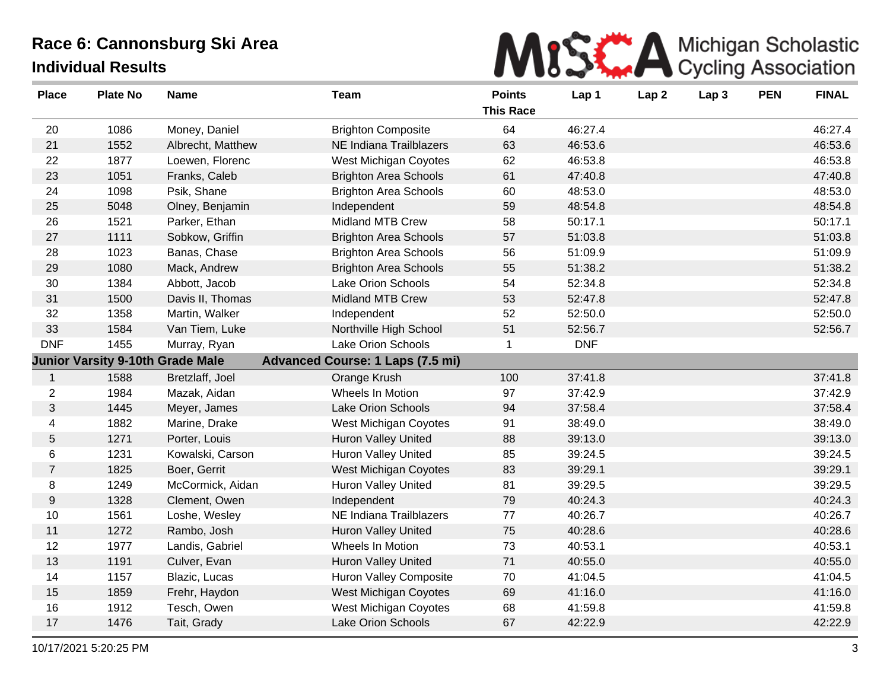

| <b>Place</b>     | <b>Plate No</b>                         | <b>Name</b>       | <b>Team</b>                             | <b>Points</b><br><b>This Race</b> | Lap 1      | Lap <sub>2</sub> | Lap <sub>3</sub> | <b>PEN</b> | <b>FINAL</b> |
|------------------|-----------------------------------------|-------------------|-----------------------------------------|-----------------------------------|------------|------------------|------------------|------------|--------------|
| 20               | 1086                                    | Money, Daniel     | <b>Brighton Composite</b>               | 64                                | 46:27.4    |                  |                  |            | 46:27.4      |
| 21               | 1552                                    | Albrecht, Matthew | NE Indiana Trailblazers                 | 63                                | 46:53.6    |                  |                  |            | 46:53.6      |
| 22               | 1877                                    | Loewen, Florenc   | West Michigan Coyotes                   | 62                                | 46:53.8    |                  |                  |            | 46:53.8      |
| 23               | 1051                                    | Franks, Caleb     | <b>Brighton Area Schools</b>            | 61                                | 47:40.8    |                  |                  |            | 47:40.8      |
| 24               | 1098                                    | Psik, Shane       | <b>Brighton Area Schools</b>            | 60                                | 48:53.0    |                  |                  |            | 48:53.0      |
| 25               | 5048                                    | Olney, Benjamin   | Independent                             | 59                                | 48:54.8    |                  |                  |            | 48:54.8      |
| 26               | 1521                                    | Parker, Ethan     | Midland MTB Crew                        | 58                                | 50:17.1    |                  |                  |            | 50:17.1      |
| 27               | 1111                                    | Sobkow, Griffin   | <b>Brighton Area Schools</b>            | 57                                | 51:03.8    |                  |                  |            | 51:03.8      |
| 28               | 1023                                    | Banas, Chase      | <b>Brighton Area Schools</b>            | 56                                | 51:09.9    |                  |                  |            | 51:09.9      |
| 29               | 1080                                    | Mack, Andrew      | <b>Brighton Area Schools</b>            | 55                                | 51:38.2    |                  |                  |            | 51:38.2      |
| 30               | 1384                                    | Abbott, Jacob     | Lake Orion Schools                      | 54                                | 52:34.8    |                  |                  |            | 52:34.8      |
| 31               | 1500                                    | Davis II, Thomas  | <b>Midland MTB Crew</b>                 | 53                                | 52:47.8    |                  |                  |            | 52:47.8      |
| 32               | 1358                                    | Martin, Walker    | Independent                             | 52                                | 52:50.0    |                  |                  |            | 52:50.0      |
| 33               | 1584                                    | Van Tiem, Luke    | Northville High School                  | 51                                | 52:56.7    |                  |                  |            | 52:56.7      |
| <b>DNF</b>       | 1455                                    | Murray, Ryan      | <b>Lake Orion Schools</b>               | 1                                 | <b>DNF</b> |                  |                  |            |              |
|                  | <b>Junior Varsity 9-10th Grade Male</b> |                   | <b>Advanced Course: 1 Laps (7.5 mi)</b> |                                   |            |                  |                  |            |              |
| $\mathbf{1}$     | 1588                                    | Bretzlaff, Joel   | Orange Krush                            | 100                               | 37:41.8    |                  |                  |            | 37:41.8      |
| $\overline{2}$   | 1984                                    | Mazak, Aidan      | Wheels In Motion                        | 97                                | 37:42.9    |                  |                  |            | 37:42.9      |
| 3                | 1445                                    | Meyer, James      | Lake Orion Schools                      | 94                                | 37:58.4    |                  |                  |            | 37:58.4      |
| 4                | 1882                                    | Marine, Drake     | West Michigan Coyotes                   | 91                                | 38:49.0    |                  |                  |            | 38:49.0      |
| $\sqrt{5}$       | 1271                                    | Porter, Louis     | Huron Valley United                     | 88                                | 39:13.0    |                  |                  |            | 39:13.0      |
| 6                | 1231                                    | Kowalski, Carson  | Huron Valley United                     | 85                                | 39:24.5    |                  |                  |            | 39:24.5      |
| $\overline{7}$   | 1825                                    | Boer, Gerrit      | West Michigan Coyotes                   | 83                                | 39:29.1    |                  |                  |            | 39:29.1      |
| 8                | 1249                                    | McCormick, Aidan  | <b>Huron Valley United</b>              | 81                                | 39:29.5    |                  |                  |            | 39:29.5      |
| $\boldsymbol{9}$ | 1328                                    | Clement, Owen     | Independent                             | 79                                | 40:24.3    |                  |                  |            | 40:24.3      |
| 10               | 1561                                    | Loshe, Wesley     | NE Indiana Trailblazers                 | 77                                | 40:26.7    |                  |                  |            | 40:26.7      |
| 11               | 1272                                    | Rambo, Josh       | <b>Huron Valley United</b>              | 75                                | 40:28.6    |                  |                  |            | 40:28.6      |
| 12               | 1977                                    | Landis, Gabriel   | Wheels In Motion                        | 73                                | 40:53.1    |                  |                  |            | 40:53.1      |
| 13               | 1191                                    | Culver, Evan      | <b>Huron Valley United</b>              | 71                                | 40:55.0    |                  |                  |            | 40:55.0      |
| 14               | 1157                                    | Blazic, Lucas     | <b>Huron Valley Composite</b>           | 70                                | 41:04.5    |                  |                  |            | 41:04.5      |
| 15               | 1859                                    | Frehr, Haydon     | West Michigan Coyotes                   | 69                                | 41:16.0    |                  |                  |            | 41:16.0      |
| 16               | 1912                                    | Tesch, Owen       | West Michigan Coyotes                   | 68                                | 41:59.8    |                  |                  |            | 41:59.8      |
| 17               | 1476                                    | Tait, Grady       | Lake Orion Schools                      | 67                                | 42:22.9    |                  |                  |            | 42:22.9      |
|                  |                                         |                   |                                         |                                   |            |                  |                  |            |              |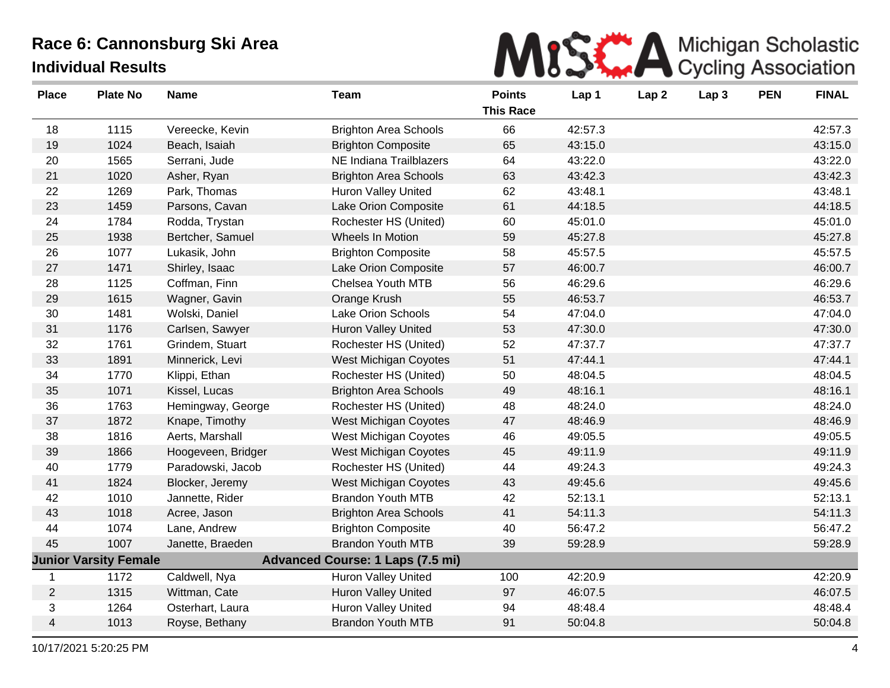

| <b>Place</b> | <b>Plate No</b>              | <b>Name</b>        | <b>Team</b>                             | <b>Points</b><br><b>This Race</b> | Lap 1   | Lap <sub>2</sub> | Lap <sub>3</sub> | <b>PEN</b> | <b>FINAL</b> |
|--------------|------------------------------|--------------------|-----------------------------------------|-----------------------------------|---------|------------------|------------------|------------|--------------|
| 18           | 1115                         | Vereecke, Kevin    | <b>Brighton Area Schools</b>            | 66                                | 42:57.3 |                  |                  |            | 42:57.3      |
| 19           | 1024                         | Beach, Isaiah      | <b>Brighton Composite</b>               | 65                                | 43:15.0 |                  |                  |            | 43:15.0      |
| 20           | 1565                         | Serrani, Jude      | <b>NE Indiana Trailblazers</b>          | 64                                | 43:22.0 |                  |                  |            | 43:22.0      |
| 21           | 1020                         | Asher, Ryan        | <b>Brighton Area Schools</b>            | 63                                | 43:42.3 |                  |                  |            | 43:42.3      |
| 22           | 1269                         | Park, Thomas       | <b>Huron Valley United</b>              | 62                                | 43:48.1 |                  |                  |            | 43:48.1      |
| 23           | 1459                         | Parsons, Cavan     | Lake Orion Composite                    | 61                                | 44:18.5 |                  |                  |            | 44:18.5      |
| 24           | 1784                         | Rodda, Trystan     | Rochester HS (United)                   | 60                                | 45:01.0 |                  |                  |            | 45:01.0      |
| 25           | 1938                         | Bertcher, Samuel   | <b>Wheels In Motion</b>                 | 59                                | 45:27.8 |                  |                  |            | 45:27.8      |
| 26           | 1077                         | Lukasik, John      | <b>Brighton Composite</b>               | 58                                | 45:57.5 |                  |                  |            | 45:57.5      |
| 27           | 1471                         | Shirley, Isaac     | Lake Orion Composite                    | 57                                | 46:00.7 |                  |                  |            | 46:00.7      |
| 28           | 1125                         | Coffman, Finn      | Chelsea Youth MTB                       | 56                                | 46:29.6 |                  |                  |            | 46:29.6      |
| 29           | 1615                         | Wagner, Gavin      | Orange Krush                            | 55                                | 46:53.7 |                  |                  |            | 46:53.7      |
| 30           | 1481                         | Wolski, Daniel     | Lake Orion Schools                      | 54                                | 47:04.0 |                  |                  |            | 47:04.0      |
| 31           | 1176                         | Carlsen, Sawyer    | <b>Huron Valley United</b>              | 53                                | 47:30.0 |                  |                  |            | 47:30.0      |
| 32           | 1761                         | Grindem, Stuart    | Rochester HS (United)                   | 52                                | 47:37.7 |                  |                  |            | 47:37.7      |
| 33           | 1891                         | Minnerick, Levi    | West Michigan Coyotes                   | 51                                | 47:44.1 |                  |                  |            | 47:44.1      |
| 34           | 1770                         | Klippi, Ethan      | Rochester HS (United)                   | 50                                | 48:04.5 |                  |                  |            | 48:04.5      |
| 35           | 1071                         | Kissel, Lucas      | <b>Brighton Area Schools</b>            | 49                                | 48:16.1 |                  |                  |            | 48:16.1      |
| 36           | 1763                         | Hemingway, George  | Rochester HS (United)                   | 48                                | 48:24.0 |                  |                  |            | 48:24.0      |
| 37           | 1872                         | Knape, Timothy     | West Michigan Coyotes                   | 47                                | 48:46.9 |                  |                  |            | 48:46.9      |
| 38           | 1816                         | Aerts, Marshall    | West Michigan Coyotes                   | 46                                | 49:05.5 |                  |                  |            | 49:05.5      |
| 39           | 1866                         | Hoogeveen, Bridger | <b>West Michigan Coyotes</b>            | 45                                | 49:11.9 |                  |                  |            | 49:11.9      |
| 40           | 1779                         | Paradowski, Jacob  | Rochester HS (United)                   | 44                                | 49:24.3 |                  |                  |            | 49:24.3      |
| 41           | 1824                         | Blocker, Jeremy    | <b>West Michigan Coyotes</b>            | 43                                | 49:45.6 |                  |                  |            | 49:45.6      |
| 42           | 1010                         | Jannette, Rider    | <b>Brandon Youth MTB</b>                | 42                                | 52:13.1 |                  |                  |            | 52:13.1      |
| 43           | 1018                         | Acree, Jason       | <b>Brighton Area Schools</b>            | 41                                | 54:11.3 |                  |                  |            | 54:11.3      |
| 44           | 1074                         | Lane, Andrew       | <b>Brighton Composite</b>               | 40                                | 56:47.2 |                  |                  |            | 56:47.2      |
| 45           | 1007                         | Janette, Braeden   | <b>Brandon Youth MTB</b>                | 39                                | 59:28.9 |                  |                  |            | 59:28.9      |
|              | <b>Junior Varsity Female</b> |                    | <b>Advanced Course: 1 Laps (7.5 mi)</b> |                                   |         |                  |                  |            |              |
| $\mathbf 1$  | 1172                         | Caldwell, Nya      | <b>Huron Valley United</b>              | 100                               | 42:20.9 |                  |                  |            | 42:20.9      |
| 2            | 1315                         | Wittman, Cate      | Huron Valley United                     | 97                                | 46:07.5 |                  |                  |            | 46:07.5      |
| 3            | 1264                         | Osterhart, Laura   | <b>Huron Valley United</b>              | 94                                | 48:48.4 |                  |                  |            | 48:48.4      |
| 4            | 1013                         | Royse, Bethany     | <b>Brandon Youth MTB</b>                | 91                                | 50:04.8 |                  |                  |            | 50:04.8      |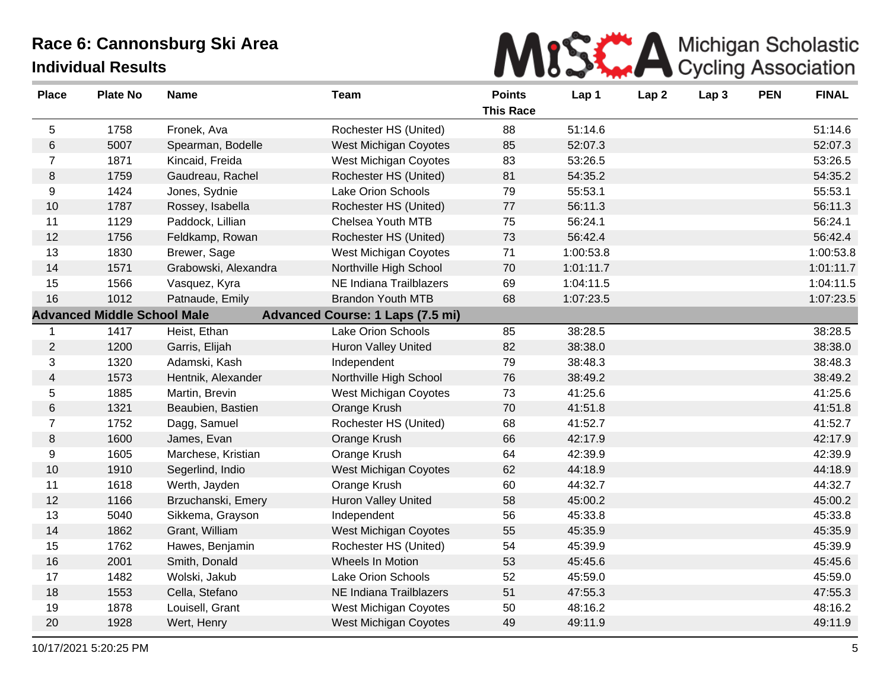

| <b>Place</b>   | <b>Plate No</b>                    | <b>Name</b>          | <b>Team</b>                             | <b>Points</b><br><b>This Race</b> | Lap 1     | Lap <sub>2</sub> | Lap <sub>3</sub> | <b>PEN</b> | <b>FINAL</b> |
|----------------|------------------------------------|----------------------|-----------------------------------------|-----------------------------------|-----------|------------------|------------------|------------|--------------|
| 5              | 1758                               | Fronek, Ava          | Rochester HS (United)                   | 88                                | 51:14.6   |                  |                  |            | 51:14.6      |
| $\,6$          | 5007                               | Spearman, Bodelle    | West Michigan Coyotes                   | 85                                | 52:07.3   |                  |                  |            | 52:07.3      |
| $\overline{7}$ | 1871                               | Kincaid, Freida      | West Michigan Coyotes                   | 83                                | 53:26.5   |                  |                  |            | 53:26.5      |
| 8              | 1759                               | Gaudreau, Rachel     | Rochester HS (United)                   | 81                                | 54:35.2   |                  |                  |            | 54:35.2      |
| 9              | 1424                               | Jones, Sydnie        | Lake Orion Schools                      | 79                                | 55:53.1   |                  |                  |            | 55:53.1      |
| 10             | 1787                               | Rossey, Isabella     | Rochester HS (United)                   | 77                                | 56:11.3   |                  |                  |            | 56:11.3      |
| 11             | 1129                               | Paddock, Lillian     | Chelsea Youth MTB                       | 75                                | 56:24.1   |                  |                  |            | 56:24.1      |
| 12             | 1756                               | Feldkamp, Rowan      | Rochester HS (United)                   | 73                                | 56:42.4   |                  |                  |            | 56:42.4      |
| 13             | 1830                               | Brewer, Sage         | West Michigan Coyotes                   | 71                                | 1:00:53.8 |                  |                  |            | 1:00:53.8    |
| 14             | 1571                               | Grabowski, Alexandra | Northville High School                  | 70                                | 1:01:11.7 |                  |                  |            | 1:01:11.7    |
| 15             | 1566                               | Vasquez, Kyra        | NE Indiana Trailblazers                 | 69                                | 1:04:11.5 |                  |                  |            | 1:04:11.5    |
| 16             | 1012                               | Patnaude, Emily      | <b>Brandon Youth MTB</b>                | 68                                | 1:07:23.5 |                  |                  |            | 1:07:23.5    |
|                | <b>Advanced Middle School Male</b> |                      | <b>Advanced Course: 1 Laps (7.5 mi)</b> |                                   |           |                  |                  |            |              |
| -1             | 1417                               | Heist, Ethan         | Lake Orion Schools                      | 85                                | 38:28.5   |                  |                  |            | 38:28.5      |
| $\overline{2}$ | 1200                               | Garris, Elijah       | <b>Huron Valley United</b>              | 82                                | 38:38.0   |                  |                  |            | 38:38.0      |
| 3              | 1320                               | Adamski, Kash        | Independent                             | 79                                | 38:48.3   |                  |                  |            | 38:48.3      |
| 4              | 1573                               | Hentnik, Alexander   | Northville High School                  | 76                                | 38:49.2   |                  |                  |            | 38:49.2      |
| 5              | 1885                               | Martin, Brevin       | West Michigan Coyotes                   | 73                                | 41:25.6   |                  |                  |            | 41:25.6      |
| 6              | 1321                               | Beaubien, Bastien    | Orange Krush                            | 70                                | 41:51.8   |                  |                  |            | 41:51.8      |
| $\overline{7}$ | 1752                               | Dagg, Samuel         | Rochester HS (United)                   | 68                                | 41:52.7   |                  |                  |            | 41:52.7      |
| $\,8\,$        | 1600                               | James, Evan          | Orange Krush                            | 66                                | 42:17.9   |                  |                  |            | 42:17.9      |
| 9              | 1605                               | Marchese, Kristian   | Orange Krush                            | 64                                | 42:39.9   |                  |                  |            | 42:39.9      |
| 10             | 1910                               | Segerlind, Indio     | <b>West Michigan Coyotes</b>            | 62                                | 44:18.9   |                  |                  |            | 44:18.9      |
| 11             | 1618                               | Werth, Jayden        | Orange Krush                            | 60                                | 44:32.7   |                  |                  |            | 44:32.7      |
| 12             | 1166                               | Brzuchanski, Emery   | <b>Huron Valley United</b>              | 58                                | 45:00.2   |                  |                  |            | 45:00.2      |
| 13             | 5040                               | Sikkema, Grayson     | Independent                             | 56                                | 45:33.8   |                  |                  |            | 45:33.8      |
| 14             | 1862                               | Grant, William       | West Michigan Coyotes                   | 55                                | 45:35.9   |                  |                  |            | 45:35.9      |
| 15             | 1762                               | Hawes, Benjamin      | Rochester HS (United)                   | 54                                | 45:39.9   |                  |                  |            | 45:39.9      |
| 16             | 2001                               | Smith, Donald        | Wheels In Motion                        | 53                                | 45:45.6   |                  |                  |            | 45:45.6      |
| 17             | 1482                               | Wolski, Jakub        | Lake Orion Schools                      | 52                                | 45:59.0   |                  |                  |            | 45:59.0      |
| 18             | 1553                               | Cella, Stefano       | NE Indiana Trailblazers                 | 51                                | 47:55.3   |                  |                  |            | 47:55.3      |
| 19             | 1878                               | Louisell, Grant      | West Michigan Coyotes                   | 50                                | 48:16.2   |                  |                  |            | 48:16.2      |
| 20             | 1928                               | Wert, Henry          | West Michigan Coyotes                   | 49                                | 49:11.9   |                  |                  |            | 49:11.9      |
|                |                                    |                      |                                         |                                   |           |                  |                  |            |              |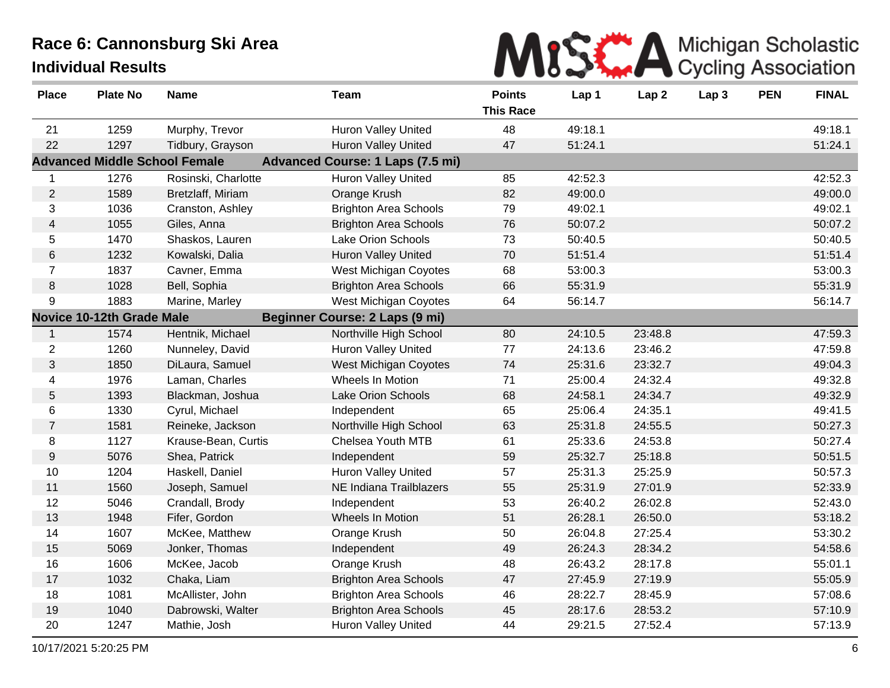

| <b>Place</b>   | <b>Plate No</b>                  | <b>Name</b>                          | <b>Team</b>                             | <b>Points</b><br><b>This Race</b> | Lap 1   | Lap <sub>2</sub> | Lap <sub>3</sub> | <b>PEN</b> | <b>FINAL</b> |
|----------------|----------------------------------|--------------------------------------|-----------------------------------------|-----------------------------------|---------|------------------|------------------|------------|--------------|
| 21             | 1259                             | Murphy, Trevor                       | <b>Huron Valley United</b>              | 48                                | 49:18.1 |                  |                  |            | 49:18.1      |
| 22             | 1297                             | Tidbury, Grayson                     | <b>Huron Valley United</b>              | 47                                | 51:24.1 |                  |                  |            | 51:24.1      |
|                |                                  | <b>Advanced Middle School Female</b> | <b>Advanced Course: 1 Laps (7.5 mi)</b> |                                   |         |                  |                  |            |              |
| $\mathbf 1$    | 1276                             | Rosinski, Charlotte                  | Huron Valley United                     | 85                                | 42:52.3 |                  |                  |            | 42:52.3      |
| $\overline{2}$ | 1589                             | Bretzlaff, Miriam                    | Orange Krush                            | 82                                | 49:00.0 |                  |                  |            | 49:00.0      |
| 3              | 1036                             | Cranston, Ashley                     | <b>Brighton Area Schools</b>            | 79                                | 49:02.1 |                  |                  |            | 49:02.1      |
| $\overline{4}$ | 1055                             | Giles, Anna                          | <b>Brighton Area Schools</b>            | 76                                | 50:07.2 |                  |                  |            | 50:07.2      |
| 5              | 1470                             | Shaskos, Lauren                      | Lake Orion Schools                      | 73                                | 50:40.5 |                  |                  |            | 50:40.5      |
| 6              | 1232                             | Kowalski, Dalia                      | <b>Huron Valley United</b>              | 70                                | 51:51.4 |                  |                  |            | 51:51.4      |
| $\overline{7}$ | 1837                             | Cavner, Emma                         | West Michigan Coyotes                   | 68                                | 53:00.3 |                  |                  |            | 53:00.3      |
| 8              | 1028                             | Bell, Sophia                         | <b>Brighton Area Schools</b>            | 66                                | 55:31.9 |                  |                  |            | 55:31.9      |
| 9              | 1883                             | Marine, Marley                       | <b>West Michigan Coyotes</b>            | 64                                | 56:14.7 |                  |                  |            | 56:14.7      |
|                | <b>Novice 10-12th Grade Male</b> |                                      | <b>Beginner Course: 2 Laps (9 mi)</b>   |                                   |         |                  |                  |            |              |
| $\mathbf{1}$   | 1574                             | Hentnik, Michael                     | Northville High School                  | 80                                | 24:10.5 | 23:48.8          |                  |            | 47:59.3      |
| $\overline{2}$ | 1260                             | Nunneley, David                      | <b>Huron Valley United</b>              | 77                                | 24:13.6 | 23:46.2          |                  |            | 47:59.8      |
| 3              | 1850                             | DiLaura, Samuel                      | <b>West Michigan Coyotes</b>            | 74                                | 25:31.6 | 23:32.7          |                  |            | 49:04.3      |
| 4              | 1976                             | Laman, Charles                       | Wheels In Motion                        | 71                                | 25:00.4 | 24:32.4          |                  |            | 49:32.8      |
| 5              | 1393                             | Blackman, Joshua                     | Lake Orion Schools                      | 68                                | 24:58.1 | 24:34.7          |                  |            | 49:32.9      |
| 6              | 1330                             | Cyrul, Michael                       | Independent                             | 65                                | 25:06.4 | 24:35.1          |                  |            | 49:41.5      |
| $\overline{7}$ | 1581                             | Reineke, Jackson                     | Northville High School                  | 63                                | 25:31.8 | 24:55.5          |                  |            | 50:27.3      |
| 8              | 1127                             | Krause-Bean, Curtis                  | Chelsea Youth MTB                       | 61                                | 25:33.6 | 24:53.8          |                  |            | 50:27.4      |
| 9              | 5076                             | Shea, Patrick                        | Independent                             | 59                                | 25:32.7 | 25:18.8          |                  |            | 50:51.5      |
| 10             | 1204                             | Haskell, Daniel                      | Huron Valley United                     | 57                                | 25:31.3 | 25:25.9          |                  |            | 50:57.3      |
| 11             | 1560                             | Joseph, Samuel                       | NE Indiana Trailblazers                 | 55                                | 25:31.9 | 27:01.9          |                  |            | 52:33.9      |
| 12             | 5046                             | Crandall, Brody                      | Independent                             | 53                                | 26:40.2 | 26:02.8          |                  |            | 52:43.0      |
| 13             | 1948                             | Fifer, Gordon                        | Wheels In Motion                        | 51                                | 26:28.1 | 26:50.0          |                  |            | 53:18.2      |
| 14             | 1607                             | McKee, Matthew                       | Orange Krush                            | 50                                | 26:04.8 | 27:25.4          |                  |            | 53:30.2      |
| 15             | 5069                             | Jonker, Thomas                       | Independent                             | 49                                | 26:24.3 | 28:34.2          |                  |            | 54:58.6      |
| 16             | 1606                             | McKee, Jacob                         | Orange Krush                            | 48                                | 26:43.2 | 28:17.8          |                  |            | 55:01.1      |
| 17             | 1032                             | Chaka, Liam                          | <b>Brighton Area Schools</b>            | 47                                | 27:45.9 | 27:19.9          |                  |            | 55:05.9      |
| 18             | 1081                             | McAllister, John                     | <b>Brighton Area Schools</b>            | 46                                | 28:22.7 | 28:45.9          |                  |            | 57:08.6      |
| 19             | 1040                             | Dabrowski, Walter                    | <b>Brighton Area Schools</b>            | 45                                | 28:17.6 | 28:53.2          |                  |            | 57:10.9      |
| 20             | 1247                             | Mathie, Josh                         | <b>Huron Valley United</b>              | 44                                | 29:21.5 | 27:52.4          |                  |            | 57:13.9      |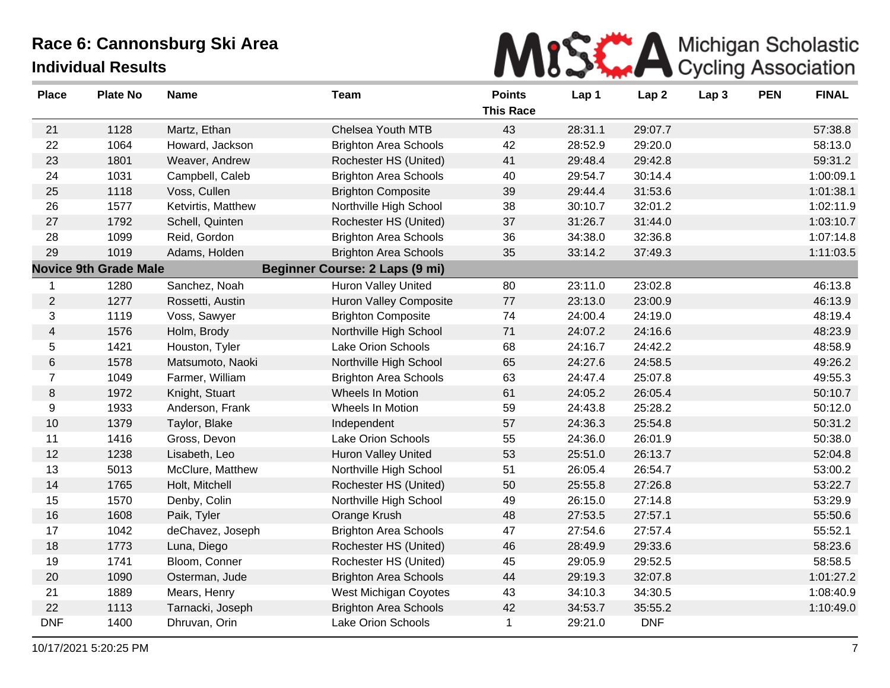

| <b>Place</b>   | <b>Plate No</b>              | <b>Name</b>        | <b>Team</b>                           | <b>Points</b><br><b>This Race</b> | Lap 1   | Lap <sub>2</sub> | Lap <sub>3</sub> | <b>PEN</b> | <b>FINAL</b> |
|----------------|------------------------------|--------------------|---------------------------------------|-----------------------------------|---------|------------------|------------------|------------|--------------|
| 21             | 1128                         | Martz, Ethan       | Chelsea Youth MTB                     | 43                                | 28:31.1 | 29:07.7          |                  |            | 57:38.8      |
| 22             | 1064                         | Howard, Jackson    | <b>Brighton Area Schools</b>          | 42                                | 28:52.9 | 29:20.0          |                  |            | 58:13.0      |
| 23             | 1801                         | Weaver, Andrew     | Rochester HS (United)                 | 41                                | 29:48.4 | 29:42.8          |                  |            | 59:31.2      |
| 24             | 1031                         | Campbell, Caleb    | <b>Brighton Area Schools</b>          | 40                                | 29:54.7 | 30:14.4          |                  |            | 1:00:09.1    |
| 25             | 1118                         | Voss, Cullen       | <b>Brighton Composite</b>             | 39                                | 29:44.4 | 31:53.6          |                  |            | 1:01:38.1    |
| 26             | 1577                         | Ketvirtis, Matthew | Northville High School                | 38                                | 30:10.7 | 32:01.2          |                  |            | 1:02:11.9    |
| 27             | 1792                         | Schell, Quinten    | Rochester HS (United)                 | 37                                | 31:26.7 | 31:44.0          |                  |            | 1:03:10.7    |
| 28             | 1099                         | Reid, Gordon       | <b>Brighton Area Schools</b>          | 36                                | 34:38.0 | 32:36.8          |                  |            | 1:07:14.8    |
| 29             | 1019                         | Adams, Holden      | <b>Brighton Area Schools</b>          | 35                                | 33:14.2 | 37:49.3          |                  |            | 1:11:03.5    |
|                | <b>Novice 9th Grade Male</b> |                    | <b>Beginner Course: 2 Laps (9 mi)</b> |                                   |         |                  |                  |            |              |
| 1              | 1280                         | Sanchez, Noah      | <b>Huron Valley United</b>            | 80                                | 23:11.0 | 23:02.8          |                  |            | 46:13.8      |
| $\overline{2}$ | 1277                         | Rossetti, Austin   | <b>Huron Valley Composite</b>         | 77                                | 23:13.0 | 23:00.9          |                  |            | 46:13.9      |
| 3              | 1119                         | Voss, Sawyer       | <b>Brighton Composite</b>             | 74                                | 24:00.4 | 24:19.0          |                  |            | 48:19.4      |
| 4              | 1576                         | Holm, Brody        | Northville High School                | 71                                | 24:07.2 | 24:16.6          |                  |            | 48:23.9      |
| 5              | 1421                         | Houston, Tyler     | Lake Orion Schools                    | 68                                | 24:16.7 | 24:42.2          |                  |            | 48:58.9      |
| 6              | 1578                         | Matsumoto, Naoki   | Northville High School                | 65                                | 24:27.6 | 24:58.5          |                  |            | 49:26.2      |
| 7              | 1049                         | Farmer, William    | <b>Brighton Area Schools</b>          | 63                                | 24:47.4 | 25:07.8          |                  |            | 49:55.3      |
| 8              | 1972                         | Knight, Stuart     | Wheels In Motion                      | 61                                | 24:05.2 | 26:05.4          |                  |            | 50:10.7      |
| 9              | 1933                         | Anderson, Frank    | Wheels In Motion                      | 59                                | 24:43.8 | 25:28.2          |                  |            | 50:12.0      |
| 10             | 1379                         | Taylor, Blake      | Independent                           | 57                                | 24:36.3 | 25:54.8          |                  |            | 50:31.2      |
| 11             | 1416                         | Gross, Devon       | Lake Orion Schools                    | 55                                | 24:36.0 | 26:01.9          |                  |            | 50:38.0      |
| 12             | 1238                         | Lisabeth, Leo      | <b>Huron Valley United</b>            | 53                                | 25:51.0 | 26:13.7          |                  |            | 52:04.8      |
| 13             | 5013                         | McClure, Matthew   | Northville High School                | 51                                | 26:05.4 | 26:54.7          |                  |            | 53:00.2      |
| 14             | 1765                         | Holt, Mitchell     | Rochester HS (United)                 | 50                                | 25:55.8 | 27:26.8          |                  |            | 53:22.7      |
| 15             | 1570                         | Denby, Colin       | Northville High School                | 49                                | 26:15.0 | 27:14.8          |                  |            | 53:29.9      |
| 16             | 1608                         | Paik, Tyler        | Orange Krush                          | 48                                | 27:53.5 | 27:57.1          |                  |            | 55:50.6      |
| 17             | 1042                         | deChavez, Joseph   | <b>Brighton Area Schools</b>          | 47                                | 27:54.6 | 27:57.4          |                  |            | 55:52.1      |
| 18             | 1773                         | Luna, Diego        | Rochester HS (United)                 | 46                                | 28:49.9 | 29:33.6          |                  |            | 58:23.6      |
| 19             | 1741                         | Bloom, Conner      | Rochester HS (United)                 | 45                                | 29:05.9 | 29:52.5          |                  |            | 58:58.5      |
| 20             | 1090                         | Osterman, Jude     | <b>Brighton Area Schools</b>          | 44                                | 29:19.3 | 32:07.8          |                  |            | 1:01:27.2    |
| 21             | 1889                         | Mears, Henry       | West Michigan Coyotes                 | 43                                | 34:10.3 | 34:30.5          |                  |            | 1:08:40.9    |
| 22             | 1113                         | Tarnacki, Joseph   | <b>Brighton Area Schools</b>          | 42                                | 34:53.7 | 35:55.2          |                  |            | 1:10:49.0    |
| <b>DNF</b>     | 1400                         | Dhruvan, Orin      | Lake Orion Schools                    | 1                                 | 29:21.0 | <b>DNF</b>       |                  |            |              |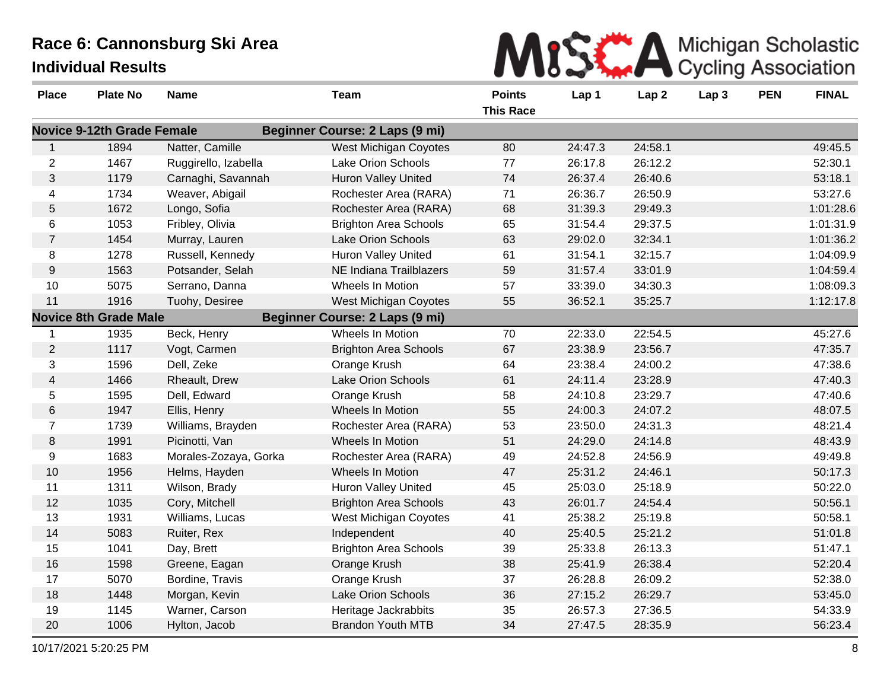

| <b>Place</b>   | <b>Plate No</b>                   | <b>Name</b>           | <b>Team</b>                           | <b>Points</b><br><b>This Race</b> | Lap 1   | Lap <sub>2</sub> | Lap <sub>3</sub> | <b>PEN</b> | <b>FINAL</b> |
|----------------|-----------------------------------|-----------------------|---------------------------------------|-----------------------------------|---------|------------------|------------------|------------|--------------|
|                | <b>Novice 9-12th Grade Female</b> |                       | <b>Beginner Course: 2 Laps (9 mi)</b> |                                   |         |                  |                  |            |              |
| 1              | 1894                              | Natter, Camille       | West Michigan Coyotes                 | 80                                | 24:47.3 | 24:58.1          |                  |            | 49:45.5      |
| $\overline{2}$ | 1467                              | Ruggirello, Izabella  | Lake Orion Schools                    | 77                                | 26:17.8 | 26:12.2          |                  |            | 52:30.1      |
| $\mathfrak{S}$ | 1179                              | Carnaghi, Savannah    | Huron Valley United                   | 74                                | 26:37.4 | 26:40.6          |                  |            | 53:18.1      |
| 4              | 1734                              | Weaver, Abigail       | Rochester Area (RARA)                 | 71                                | 26:36.7 | 26:50.9          |                  |            | 53:27.6      |
| 5              | 1672                              | Longo, Sofia          | Rochester Area (RARA)                 | 68                                | 31:39.3 | 29:49.3          |                  |            | 1:01:28.6    |
| 6              | 1053                              | Fribley, Olivia       | <b>Brighton Area Schools</b>          | 65                                | 31:54.4 | 29:37.5          |                  |            | 1:01:31.9    |
| $\overline{7}$ | 1454                              | Murray, Lauren        | Lake Orion Schools                    | 63                                | 29:02.0 | 32:34.1          |                  |            | 1:01:36.2    |
| 8              | 1278                              | Russell, Kennedy      | Huron Valley United                   | 61                                | 31:54.1 | 32:15.7          |                  |            | 1:04:09.9    |
| 9              | 1563                              | Potsander, Selah      | <b>NE Indiana Trailblazers</b>        | 59                                | 31:57.4 | 33:01.9          |                  |            | 1:04:59.4    |
| 10             | 5075                              | Serrano, Danna        | Wheels In Motion                      | 57                                | 33:39.0 | 34:30.3          |                  |            | 1:08:09.3    |
| 11             | 1916                              | Tuohy, Desiree        | <b>West Michigan Coyotes</b>          | 55                                | 36:52.1 | 35:25.7          |                  |            | 1:12:17.8    |
|                | <b>Novice 8th Grade Male</b>      |                       | Beginner Course: 2 Laps (9 mi)        |                                   |         |                  |                  |            |              |
| 1              | 1935                              | Beck, Henry           | Wheels In Motion                      | 70                                | 22:33.0 | 22:54.5          |                  |            | 45:27.6      |
| $\overline{2}$ | 1117                              | Vogt, Carmen          | <b>Brighton Area Schools</b>          | 67                                | 23:38.9 | 23:56.7          |                  |            | 47:35.7      |
| 3              | 1596                              | Dell, Zeke            | Orange Krush                          | 64                                | 23:38.4 | 24:00.2          |                  |            | 47:38.6      |
| $\overline{4}$ | 1466                              | Rheault, Drew         | <b>Lake Orion Schools</b>             | 61                                | 24:11.4 | 23:28.9          |                  |            | 47:40.3      |
| 5              | 1595                              | Dell, Edward          | Orange Krush                          | 58                                | 24:10.8 | 23:29.7          |                  |            | 47:40.6      |
| $\,6$          | 1947                              | Ellis, Henry          | Wheels In Motion                      | 55                                | 24:00.3 | 24:07.2          |                  |            | 48:07.5      |
| $\overline{7}$ | 1739                              | Williams, Brayden     | Rochester Area (RARA)                 | 53                                | 23:50.0 | 24:31.3          |                  |            | 48:21.4      |
| 8              | 1991                              | Picinotti, Van        | Wheels In Motion                      | 51                                | 24:29.0 | 24:14.8          |                  |            | 48:43.9      |
| 9              | 1683                              | Morales-Zozaya, Gorka | Rochester Area (RARA)                 | 49                                | 24:52.8 | 24:56.9          |                  |            | 49:49.8      |
| 10             | 1956                              | Helms, Hayden         | Wheels In Motion                      | 47                                | 25:31.2 | 24:46.1          |                  |            | 50:17.3      |
| 11             | 1311                              | Wilson, Brady         | <b>Huron Valley United</b>            | 45                                | 25:03.0 | 25:18.9          |                  |            | 50:22.0      |
| 12             | 1035                              | Cory, Mitchell        | <b>Brighton Area Schools</b>          | 43                                | 26:01.7 | 24:54.4          |                  |            | 50:56.1      |
| 13             | 1931                              | Williams, Lucas       | West Michigan Coyotes                 | 41                                | 25:38.2 | 25:19.8          |                  |            | 50:58.1      |
| 14             | 5083                              | Ruiter, Rex           | Independent                           | 40                                | 25:40.5 | 25:21.2          |                  |            | 51:01.8      |
| 15             | 1041                              | Day, Brett            | <b>Brighton Area Schools</b>          | 39                                | 25:33.8 | 26:13.3          |                  |            | 51:47.1      |
| 16             | 1598                              | Greene, Eagan         | Orange Krush                          | 38                                | 25:41.9 | 26:38.4          |                  |            | 52:20.4      |
| 17             | 5070                              | Bordine, Travis       | Orange Krush                          | 37                                | 26:28.8 | 26:09.2          |                  |            | 52:38.0      |
| 18             | 1448                              | Morgan, Kevin         | <b>Lake Orion Schools</b>             | 36                                | 27:15.2 | 26:29.7          |                  |            | 53:45.0      |
| 19             | 1145                              | Warner, Carson        | Heritage Jackrabbits                  | 35                                | 26:57.3 | 27:36.5          |                  |            | 54:33.9      |
| 20             | 1006                              | Hylton, Jacob         | <b>Brandon Youth MTB</b>              | 34                                | 27:47.5 | 28:35.9          |                  |            | 56:23.4      |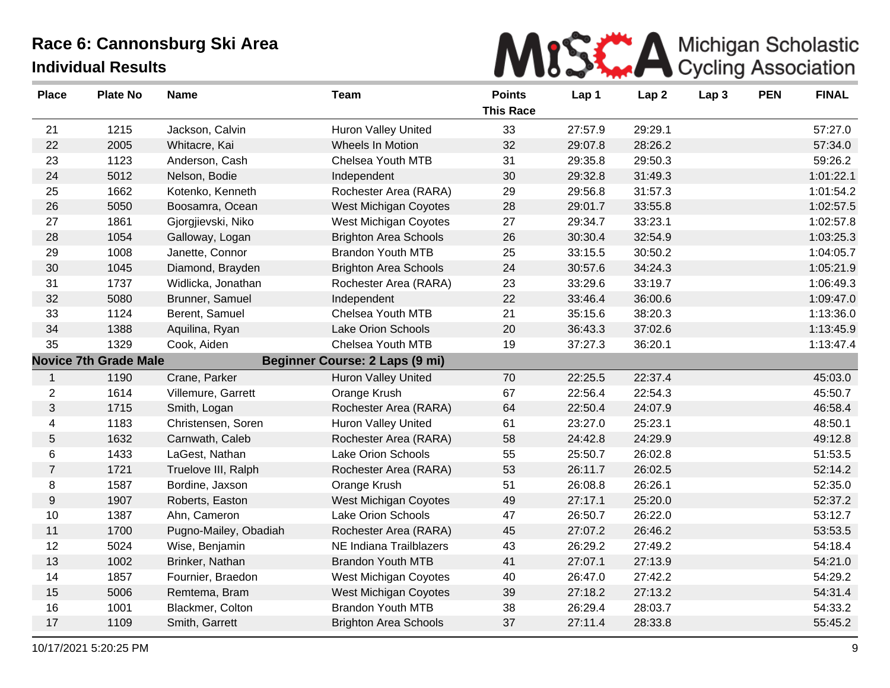

| <b>Place</b>     | <b>Plate No</b>              | <b>Name</b>           | <b>Team</b>                    | <b>Points</b><br><b>This Race</b> | Lap 1   | Lap <sub>2</sub> | Lap <sub>3</sub> | <b>PEN</b> | <b>FINAL</b> |
|------------------|------------------------------|-----------------------|--------------------------------|-----------------------------------|---------|------------------|------------------|------------|--------------|
| 21               | 1215                         | Jackson, Calvin       | <b>Huron Valley United</b>     | 33                                | 27:57.9 | 29:29.1          |                  |            | 57:27.0      |
| 22               | 2005                         | Whitacre, Kai         | Wheels In Motion               | 32                                | 29:07.8 | 28:26.2          |                  |            | 57:34.0      |
| 23               | 1123                         | Anderson, Cash        | Chelsea Youth MTB              | 31                                | 29:35.8 | 29:50.3          |                  |            | 59:26.2      |
| 24               | 5012                         | Nelson, Bodie         | Independent                    | 30                                | 29:32.8 | 31:49.3          |                  |            | 1:01:22.1    |
| 25               | 1662                         | Kotenko, Kenneth      | Rochester Area (RARA)          | 29                                | 29:56.8 | 31:57.3          |                  |            | 1:01:54.2    |
| 26               | 5050                         | Boosamra, Ocean       | <b>West Michigan Coyotes</b>   | 28                                | 29:01.7 | 33:55.8          |                  |            | 1:02:57.5    |
| 27               | 1861                         | Gjorgjievski, Niko    | West Michigan Coyotes          | 27                                | 29:34.7 | 33:23.1          |                  |            | 1:02:57.8    |
| 28               | 1054                         | Galloway, Logan       | <b>Brighton Area Schools</b>   | 26                                | 30:30.4 | 32:54.9          |                  |            | 1:03:25.3    |
| 29               | 1008                         | Janette, Connor       | <b>Brandon Youth MTB</b>       | 25                                | 33:15.5 | 30:50.2          |                  |            | 1:04:05.7    |
| 30               | 1045                         | Diamond, Brayden      | <b>Brighton Area Schools</b>   | 24                                | 30:57.6 | 34:24.3          |                  |            | 1:05:21.9    |
| 31               | 1737                         | Widlicka, Jonathan    | Rochester Area (RARA)          | 23                                | 33:29.6 | 33:19.7          |                  |            | 1:06:49.3    |
| 32               | 5080                         | Brunner, Samuel       | Independent                    | 22                                | 33:46.4 | 36:00.6          |                  |            | 1:09:47.0    |
| 33               | 1124                         | Berent, Samuel        | Chelsea Youth MTB              | 21                                | 35:15.6 | 38:20.3          |                  |            | 1:13:36.0    |
| 34               | 1388                         | Aquilina, Ryan        | <b>Lake Orion Schools</b>      | 20                                | 36:43.3 | 37:02.6          |                  |            | 1:13:45.9    |
| 35               | 1329                         | Cook, Aiden           | Chelsea Youth MTB              | 19                                | 37:27.3 | 36:20.1          |                  |            | 1:13:47.4    |
|                  | <b>Novice 7th Grade Male</b> |                       | Beginner Course: 2 Laps (9 mi) |                                   |         |                  |                  |            |              |
| $\mathbf{1}$     | 1190                         | Crane, Parker         | <b>Huron Valley United</b>     | 70                                | 22:25.5 | 22:37.4          |                  |            | 45:03.0      |
| $\overline{2}$   | 1614                         | Villemure, Garrett    | Orange Krush                   | 67                                | 22:56.4 | 22:54.3          |                  |            | 45:50.7      |
| 3                | 1715                         | Smith, Logan          | Rochester Area (RARA)          | 64                                | 22:50.4 | 24:07.9          |                  |            | 46:58.4      |
| 4                | 1183                         | Christensen, Soren    | <b>Huron Valley United</b>     | 61                                | 23:27.0 | 25:23.1          |                  |            | 48:50.1      |
| $\overline{5}$   | 1632                         | Carnwath, Caleb       | Rochester Area (RARA)          | 58                                | 24:42.8 | 24:29.9          |                  |            | 49:12.8      |
| $\,6\,$          | 1433                         | LaGest, Nathan        | Lake Orion Schools             | 55                                | 25:50.7 | 26:02.8          |                  |            | 51:53.5      |
| $\overline{7}$   | 1721                         | Truelove III, Ralph   | Rochester Area (RARA)          | 53                                | 26:11.7 | 26:02.5          |                  |            | 52:14.2      |
| 8                | 1587                         | Bordine, Jaxson       | Orange Krush                   | 51                                | 26:08.8 | 26:26.1          |                  |            | 52:35.0      |
| $\boldsymbol{9}$ | 1907                         | Roberts, Easton       | West Michigan Coyotes          | 49                                | 27:17.1 | 25:20.0          |                  |            | 52:37.2      |
| 10               | 1387                         | Ahn, Cameron          | Lake Orion Schools             | 47                                | 26:50.7 | 26:22.0          |                  |            | 53:12.7      |
| 11               | 1700                         | Pugno-Mailey, Obadiah | Rochester Area (RARA)          | 45                                | 27:07.2 | 26:46.2          |                  |            | 53:53.5      |
| 12               | 5024                         | Wise, Benjamin        | NE Indiana Trailblazers        | 43                                | 26:29.2 | 27:49.2          |                  |            | 54:18.4      |
| 13               | 1002                         | Brinker, Nathan       | <b>Brandon Youth MTB</b>       | 41                                | 27:07.1 | 27:13.9          |                  |            | 54:21.0      |
| 14               | 1857                         | Fournier, Braedon     | West Michigan Coyotes          | 40                                | 26:47.0 | 27:42.2          |                  |            | 54:29.2      |
| 15               | 5006                         | Remtema, Bram         | West Michigan Coyotes          | 39                                | 27:18.2 | 27:13.2          |                  |            | 54:31.4      |
| 16               | 1001                         | Blackmer, Colton      | <b>Brandon Youth MTB</b>       | 38                                | 26:29.4 | 28:03.7          |                  |            | 54:33.2      |
| 17               | 1109                         | Smith, Garrett        | <b>Brighton Area Schools</b>   | 37                                | 27:11.4 | 28:33.8          |                  |            | 55:45.2      |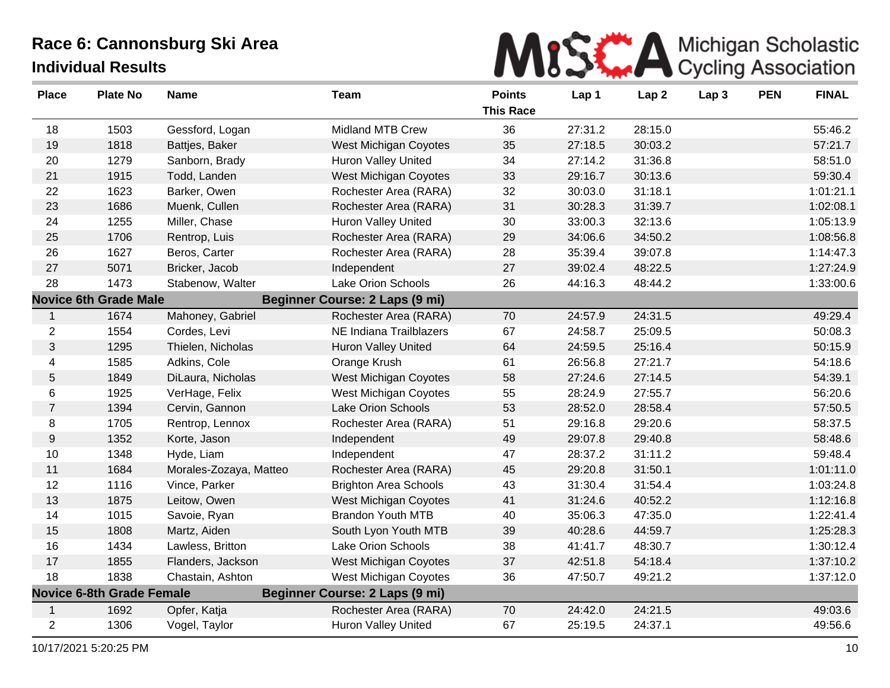

| <b>Place</b>   | <b>Plate No</b>                  | <b>Name</b>            | <b>Team</b>                           | <b>Points</b><br><b>This Race</b> | Lap 1   | Lap <sub>2</sub> | Lap <sub>3</sub> | <b>PEN</b> | <b>FINAL</b> |
|----------------|----------------------------------|------------------------|---------------------------------------|-----------------------------------|---------|------------------|------------------|------------|--------------|
| 18             | 1503                             | Gessford, Logan        | <b>Midland MTB Crew</b>               | 36                                | 27:31.2 | 28:15.0          |                  |            | 55:46.2      |
| 19             | 1818                             | Battjes, Baker         | West Michigan Coyotes                 | 35                                | 27:18.5 | 30:03.2          |                  |            | 57:21.7      |
| 20             | 1279                             | Sanborn, Brady         | <b>Huron Valley United</b>            | 34                                | 27:14.2 | 31:36.8          |                  |            | 58:51.0      |
| 21             | 1915                             | Todd, Landen           | <b>West Michigan Coyotes</b>          | 33                                | 29:16.7 | 30:13.6          |                  |            | 59:30.4      |
| 22             | 1623                             | Barker, Owen           | Rochester Area (RARA)                 | 32                                | 30:03.0 | 31:18.1          |                  |            | 1:01:21.1    |
| 23             | 1686                             | Muenk, Cullen          | Rochester Area (RARA)                 | 31                                | 30:28.3 | 31:39.7          |                  |            | 1:02:08.1    |
| 24             | 1255                             | Miller, Chase          | Huron Valley United                   | 30                                | 33:00.3 | 32:13.6          |                  |            | 1:05:13.9    |
| 25             | 1706                             | Rentrop, Luis          | Rochester Area (RARA)                 | 29                                | 34:06.6 | 34:50.2          |                  |            | 1:08:56.8    |
| 26             | 1627                             | Beros, Carter          | Rochester Area (RARA)                 | 28                                | 35:39.4 | 39:07.8          |                  |            | 1:14:47.3    |
| 27             | 5071                             | Bricker, Jacob         | Independent                           | 27                                | 39:02.4 | 48:22.5          |                  |            | 1:27:24.9    |
| 28             | 1473                             | Stabenow, Walter       | <b>Lake Orion Schools</b>             | 26                                | 44:16.3 | 48:44.2          |                  |            | 1:33:00.6    |
|                | <b>Novice 6th Grade Male</b>     |                        | <b>Beginner Course: 2 Laps (9 mi)</b> |                                   |         |                  |                  |            |              |
| 1              | 1674                             | Mahoney, Gabriel       | Rochester Area (RARA)                 | 70                                | 24:57.9 | 24:31.5          |                  |            | 49:29.4      |
| $\overline{c}$ | 1554                             | Cordes, Levi           | NE Indiana Trailblazers               | 67                                | 24:58.7 | 25:09.5          |                  |            | 50:08.3      |
| 3              | 1295                             | Thielen, Nicholas      | <b>Huron Valley United</b>            | 64                                | 24:59.5 | 25:16.4          |                  |            | 50:15.9      |
| $\overline{4}$ | 1585                             | Adkins, Cole           | Orange Krush                          | 61                                | 26:56.8 | 27:21.7          |                  |            | 54:18.6      |
| 5              | 1849                             | DiLaura, Nicholas      | <b>West Michigan Coyotes</b>          | 58                                | 27:24.6 | 27:14.5          |                  |            | 54:39.1      |
| 6              | 1925                             | VerHage, Felix         | West Michigan Coyotes                 | 55                                | 28:24.9 | 27:55.7          |                  |            | 56:20.6      |
| $\overline{7}$ | 1394                             | Cervin, Gannon         | <b>Lake Orion Schools</b>             | 53                                | 28:52.0 | 28:58.4          |                  |            | 57:50.5      |
| 8              | 1705                             | Rentrop, Lennox        | Rochester Area (RARA)                 | 51                                | 29:16.8 | 29:20.6          |                  |            | 58:37.5      |
| $9\,$          | 1352                             | Korte, Jason           | Independent                           | 49                                | 29:07.8 | 29:40.8          |                  |            | 58:48.6      |
| 10             | 1348                             | Hyde, Liam             | Independent                           | 47                                | 28:37.2 | 31:11.2          |                  |            | 59:48.4      |
| 11             | 1684                             | Morales-Zozaya, Matteo | Rochester Area (RARA)                 | 45                                | 29:20.8 | 31:50.1          |                  |            | 1:01:11.0    |
| 12             | 1116                             | Vince, Parker          | <b>Brighton Area Schools</b>          | 43                                | 31:30.4 | 31:54.4          |                  |            | 1:03:24.8    |
| 13             | 1875                             | Leitow, Owen           | West Michigan Coyotes                 | 41                                | 31:24.6 | 40:52.2          |                  |            | 1:12:16.8    |
| 14             | 1015                             | Savoie, Ryan           | <b>Brandon Youth MTB</b>              | 40                                | 35:06.3 | 47:35.0          |                  |            | 1:22:41.4    |
| 15             | 1808                             | Martz, Aiden           | South Lyon Youth MTB                  | 39                                | 40:28.6 | 44:59.7          |                  |            | 1:25:28.3    |
| 16             | 1434                             | Lawless, Britton       | <b>Lake Orion Schools</b>             | 38                                | 41:41.7 | 48:30.7          |                  |            | 1:30:12.4    |
| 17             | 1855                             | Flanders, Jackson      | West Michigan Coyotes                 | 37                                | 42:51.8 | 54:18.4          |                  |            | 1:37:10.2    |
| 18             | 1838                             | Chastain, Ashton       | West Michigan Coyotes                 | 36                                | 47:50.7 | 49:21.2          |                  |            | 1:37:12.0    |
|                | <b>Novice 6-8th Grade Female</b> |                        | <b>Beginner Course: 2 Laps (9 mi)</b> |                                   |         |                  |                  |            |              |
|                | 1692                             | Opfer, Katja           | Rochester Area (RARA)                 | 70                                | 24:42.0 | 24:21.5          |                  |            | 49:03.6      |
| $\overline{c}$ | 1306                             | Vogel, Taylor          | <b>Huron Valley United</b>            | 67                                | 25:19.5 | 24:37.1          |                  |            | 49:56.6      |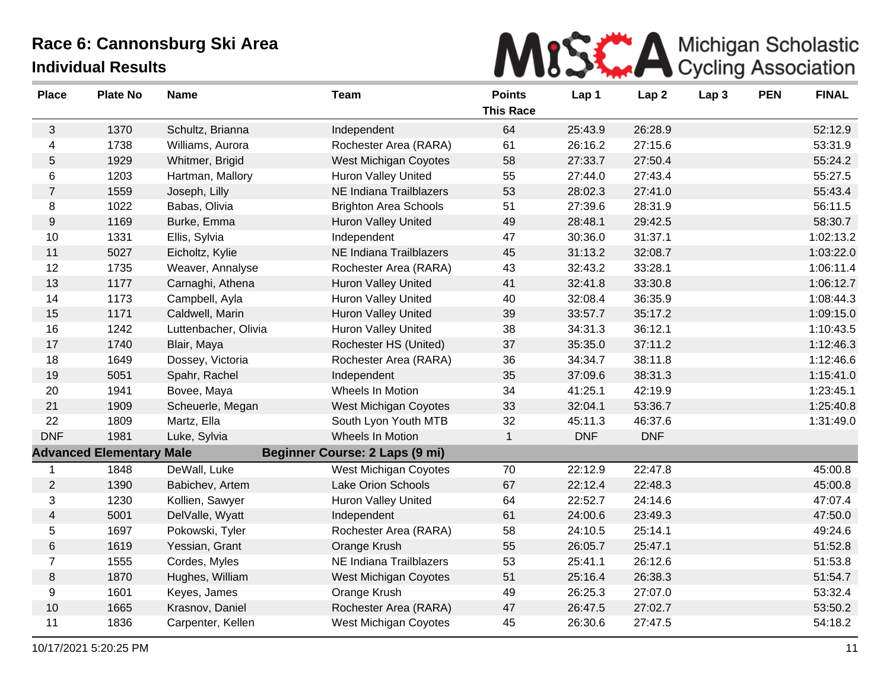

| <b>Place</b>     | <b>Plate No</b>                 | <b>Name</b>          | <b>Team</b>                    | <b>Points</b><br><b>This Race</b> | Lap 1      | Lap <sub>2</sub> | Lap <sub>3</sub> | <b>PEN</b> | <b>FINAL</b> |
|------------------|---------------------------------|----------------------|--------------------------------|-----------------------------------|------------|------------------|------------------|------------|--------------|
| $\mathbf{3}$     | 1370                            | Schultz, Brianna     | Independent                    | 64                                | 25:43.9    | 26:28.9          |                  |            | 52:12.9      |
| 4                | 1738                            | Williams, Aurora     | Rochester Area (RARA)          | 61                                | 26:16.2    | 27:15.6          |                  |            | 53:31.9      |
| 5                | 1929                            | Whitmer, Brigid      | <b>West Michigan Coyotes</b>   | 58                                | 27:33.7    | 27:50.4          |                  |            | 55:24.2      |
| 6                | 1203                            | Hartman, Mallory     | <b>Huron Valley United</b>     | 55                                | 27:44.0    | 27:43.4          |                  |            | 55:27.5      |
| $\overline{7}$   | 1559                            | Joseph, Lilly        | <b>NE Indiana Trailblazers</b> | 53                                | 28:02.3    | 27:41.0          |                  |            | 55:43.4      |
| 8                | 1022                            | Babas, Olivia        | <b>Brighton Area Schools</b>   | 51                                | 27:39.6    | 28:31.9          |                  |            | 56:11.5      |
| $\boldsymbol{9}$ | 1169                            | Burke, Emma          | <b>Huron Valley United</b>     | 49                                | 28:48.1    | 29:42.5          |                  |            | 58:30.7      |
| 10               | 1331                            | Ellis, Sylvia        | Independent                    | 47                                | 30:36.0    | 31:37.1          |                  |            | 1:02:13.2    |
| 11               | 5027                            | Eicholtz, Kylie      | NE Indiana Trailblazers        | 45                                | 31:13.2    | 32:08.7          |                  |            | 1:03:22.0    |
| 12               | 1735                            | Weaver, Annalyse     | Rochester Area (RARA)          | 43                                | 32:43.2    | 33:28.1          |                  |            | 1:06:11.4    |
| 13               | 1177                            | Carnaghi, Athena     | <b>Huron Valley United</b>     | 41                                | 32:41.8    | 33:30.8          |                  |            | 1:06:12.7    |
| 14               | 1173                            | Campbell, Ayla       | <b>Huron Valley United</b>     | 40                                | 32:08.4    | 36:35.9          |                  |            | 1:08:44.3    |
| 15               | 1171                            | Caldwell, Marin      | <b>Huron Valley United</b>     | 39                                | 33:57.7    | 35:17.2          |                  |            | 1:09:15.0    |
| 16               | 1242                            | Luttenbacher, Olivia | <b>Huron Valley United</b>     | 38                                | 34:31.3    | 36:12.1          |                  |            | 1:10:43.5    |
| 17               | 1740                            | Blair, Maya          | Rochester HS (United)          | 37                                | 35:35.0    | 37:11.2          |                  |            | 1:12:46.3    |
| 18               | 1649                            | Dossey, Victoria     | Rochester Area (RARA)          | 36                                | 34:34.7    | 38:11.8          |                  |            | 1:12:46.6    |
| 19               | 5051                            | Spahr, Rachel        | Independent                    | 35                                | 37:09.6    | 38:31.3          |                  |            | 1:15:41.0    |
| 20               | 1941                            | Bovee, Maya          | Wheels In Motion               | 34                                | 41:25.1    | 42:19.9          |                  |            | 1:23:45.1    |
| 21               | 1909                            | Scheuerle, Megan     | West Michigan Coyotes          | 33                                | 32:04.1    | 53:36.7          |                  |            | 1:25:40.8    |
| 22               | 1809                            | Martz, Ella          | South Lyon Youth MTB           | 32                                | 45:11.3    | 46:37.6          |                  |            | 1:31:49.0    |
| <b>DNF</b>       | 1981                            | Luke, Sylvia         | Wheels In Motion               | $\mathbf{1}$                      | <b>DNF</b> | <b>DNF</b>       |                  |            |              |
|                  | <b>Advanced Elementary Male</b> |                      | Beginner Course: 2 Laps (9 mi) |                                   |            |                  |                  |            |              |
| $\mathbf 1$      | 1848                            | DeWall, Luke         | <b>West Michigan Coyotes</b>   | 70                                | 22:12.9    | 22:47.8          |                  |            | 45:00.8      |
| $\overline{2}$   | 1390                            | Babichev, Artem      | Lake Orion Schools             | 67                                | 22:12.4    | 22:48.3          |                  |            | 45:00.8      |
| 3                | 1230                            | Kollien, Sawyer      | <b>Huron Valley United</b>     | 64                                | 22:52.7    | 24:14.6          |                  |            | 47:07.4      |
| $\overline{4}$   | 5001                            | DelValle, Wyatt      | Independent                    | 61                                | 24:00.6    | 23:49.3          |                  |            | 47:50.0      |
| 5                | 1697                            | Pokowski, Tyler      | Rochester Area (RARA)          | 58                                | 24:10.5    | 25:14.1          |                  |            | 49:24.6      |
| 6                | 1619                            | Yessian, Grant       | Orange Krush                   | 55                                | 26:05.7    | 25:47.1          |                  |            | 51:52.8      |
| $\overline{7}$   | 1555                            | Cordes, Myles        | NE Indiana Trailblazers        | 53                                | 25:41.1    | 26:12.6          |                  |            | 51:53.8      |
| $\,8\,$          | 1870                            | Hughes, William      | <b>West Michigan Coyotes</b>   | 51                                | 25:16.4    | 26:38.3          |                  |            | 51:54.7      |
| 9                | 1601                            | Keyes, James         | Orange Krush                   | 49                                | 26:25.3    | 27:07.0          |                  |            | 53:32.4      |
| 10               | 1665                            | Krasnov, Daniel      | Rochester Area (RARA)          | 47                                | 26:47.5    | 27:02.7          |                  |            | 53:50.2      |
| 11               | 1836                            | Carpenter, Kellen    | West Michigan Coyotes          | 45                                | 26:30.6    | 27:47.5          |                  |            | 54:18.2      |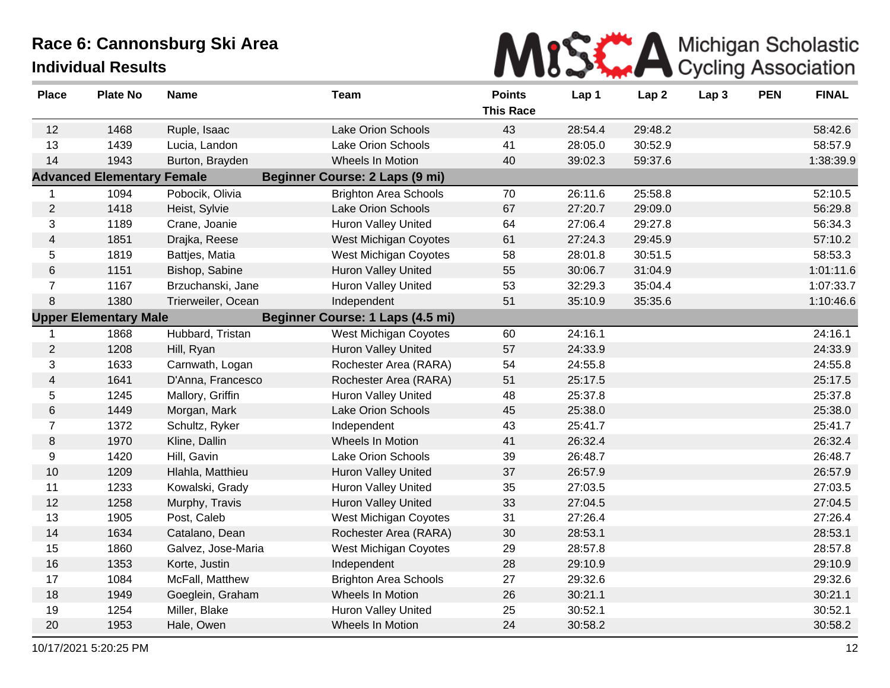

| <b>Place</b>             | <b>Plate No</b>                   | <b>Name</b>        | <b>Team</b>                      | <b>Points</b><br><b>This Race</b> | Lap 1   | Lap <sub>2</sub> | Lap <sub>3</sub> | <b>PEN</b> | <b>FINAL</b> |
|--------------------------|-----------------------------------|--------------------|----------------------------------|-----------------------------------|---------|------------------|------------------|------------|--------------|
| 12                       | 1468                              | Ruple, Isaac       | Lake Orion Schools               | 43                                | 28:54.4 | 29:48.2          |                  |            | 58:42.6      |
| 13                       | 1439                              | Lucia, Landon      | Lake Orion Schools               | 41                                | 28:05.0 | 30:52.9          |                  |            | 58:57.9      |
| 14                       | 1943                              | Burton, Brayden    | Wheels In Motion                 | 40                                | 39:02.3 | 59:37.6          |                  |            | 1:38:39.9    |
|                          | <b>Advanced Elementary Female</b> |                    | Beginner Course: 2 Laps (9 mi)   |                                   |         |                  |                  |            |              |
| $\mathbf 1$              | 1094                              | Pobocik, Olivia    | <b>Brighton Area Schools</b>     | 70                                | 26:11.6 | 25:58.8          |                  |            | 52:10.5      |
| $\overline{2}$           | 1418                              | Heist, Sylvie      | <b>Lake Orion Schools</b>        | 67                                | 27:20.7 | 29:09.0          |                  |            | 56:29.8      |
| 3                        | 1189                              | Crane, Joanie      | Huron Valley United              | 64                                | 27:06.4 | 29:27.8          |                  |            | 56:34.3      |
| $\overline{4}$           | 1851                              | Drajka, Reese      | <b>West Michigan Coyotes</b>     | 61                                | 27:24.3 | 29:45.9          |                  |            | 57:10.2      |
| 5                        | 1819                              | Battjes, Matia     | West Michigan Coyotes            | 58                                | 28:01.8 | 30:51.5          |                  |            | 58:53.3      |
| 6                        | 1151                              | Bishop, Sabine     | <b>Huron Valley United</b>       | 55                                | 30:06.7 | 31:04.9          |                  |            | 1:01:11.6    |
| $\overline{7}$           | 1167                              | Brzuchanski, Jane  | <b>Huron Valley United</b>       | 53                                | 32:29.3 | 35:04.4          |                  |            | 1:07:33.7    |
| 8                        | 1380                              | Trierweiler, Ocean | Independent                      | 51                                | 35:10.9 | 35:35.6          |                  |            | 1:10:46.6    |
|                          | <b>Upper Elementary Male</b>      |                    | Beginner Course: 1 Laps (4.5 mi) |                                   |         |                  |                  |            |              |
|                          | 1868                              | Hubbard, Tristan   | West Michigan Coyotes            | 60                                | 24:16.1 |                  |                  |            | 24:16.1      |
| $\overline{2}$           | 1208                              | Hill, Ryan         | Huron Valley United              | 57                                | 24:33.9 |                  |                  |            | 24:33.9      |
| 3                        | 1633                              | Carnwath, Logan    | Rochester Area (RARA)            | 54                                | 24:55.8 |                  |                  |            | 24:55.8      |
| $\overline{\mathcal{A}}$ | 1641                              | D'Anna, Francesco  | Rochester Area (RARA)            | 51                                | 25:17.5 |                  |                  |            | 25:17.5      |
| 5                        | 1245                              | Mallory, Griffin   | <b>Huron Valley United</b>       | 48                                | 25:37.8 |                  |                  |            | 25:37.8      |
| 6                        | 1449                              | Morgan, Mark       | Lake Orion Schools               | 45                                | 25:38.0 |                  |                  |            | 25:38.0      |
| $\overline{7}$           | 1372                              | Schultz, Ryker     | Independent                      | 43                                | 25:41.7 |                  |                  |            | 25:41.7      |
| 8                        | 1970                              | Kline, Dallin      | Wheels In Motion                 | 41                                | 26:32.4 |                  |                  |            | 26:32.4      |
| 9                        | 1420                              | Hill, Gavin        | Lake Orion Schools               | 39                                | 26:48.7 |                  |                  |            | 26:48.7      |
| 10                       | 1209                              | Hlahla, Matthieu   | <b>Huron Valley United</b>       | 37                                | 26:57.9 |                  |                  |            | 26:57.9      |
| 11                       | 1233                              | Kowalski, Grady    | <b>Huron Valley United</b>       | 35                                | 27:03.5 |                  |                  |            | 27:03.5      |
| 12                       | 1258                              | Murphy, Travis     | <b>Huron Valley United</b>       | 33                                | 27:04.5 |                  |                  |            | 27:04.5      |
| 13                       | 1905                              | Post, Caleb        | West Michigan Coyotes            | 31                                | 27:26.4 |                  |                  |            | 27:26.4      |
| 14                       | 1634                              | Catalano, Dean     | Rochester Area (RARA)            | 30                                | 28:53.1 |                  |                  |            | 28:53.1      |
| 15                       | 1860                              | Galvez, Jose-Maria | West Michigan Coyotes            | 29                                | 28:57.8 |                  |                  |            | 28:57.8      |
| 16                       | 1353                              | Korte, Justin      | Independent                      | 28                                | 29:10.9 |                  |                  |            | 29:10.9      |
| 17                       | 1084                              | McFall, Matthew    | <b>Brighton Area Schools</b>     | 27                                | 29:32.6 |                  |                  |            | 29:32.6      |
| 18                       | 1949                              | Goeglein, Graham   | <b>Wheels In Motion</b>          | 26                                | 30:21.1 |                  |                  |            | 30:21.1      |
| 19                       | 1254                              | Miller, Blake      | <b>Huron Valley United</b>       | 25                                | 30:52.1 |                  |                  |            | 30:52.1      |
| 20                       | 1953                              | Hale, Owen         | Wheels In Motion                 | 24                                | 30:58.2 |                  |                  |            | 30:58.2      |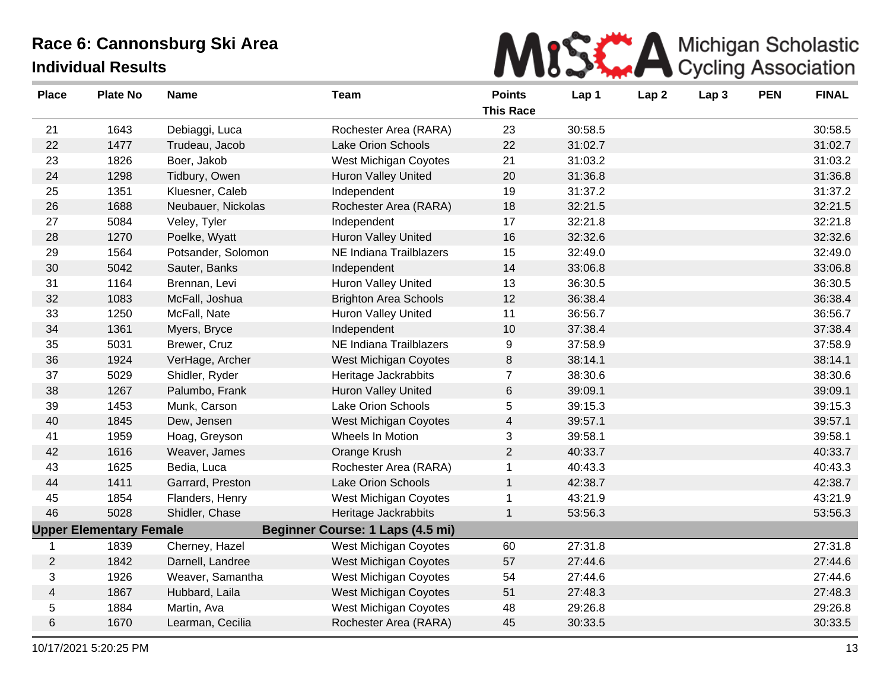

| <b>Place</b>   | <b>Plate No</b>                | <b>Name</b>        | <b>Team</b>                      | <b>Points</b><br><b>This Race</b> | Lap 1   | Lap <sub>2</sub> | Lap <sub>3</sub> | <b>PEN</b> | <b>FINAL</b> |
|----------------|--------------------------------|--------------------|----------------------------------|-----------------------------------|---------|------------------|------------------|------------|--------------|
| 21             | 1643                           | Debiaggi, Luca     | Rochester Area (RARA)            | 23                                | 30:58.5 |                  |                  |            | 30:58.5      |
| 22             | 1477                           | Trudeau, Jacob     | Lake Orion Schools               | 22                                | 31:02.7 |                  |                  |            | 31:02.7      |
| 23             | 1826                           | Boer, Jakob        | West Michigan Coyotes            | 21                                | 31:03.2 |                  |                  |            | 31:03.2      |
| 24             | 1298                           | Tidbury, Owen      | <b>Huron Valley United</b>       | 20                                | 31:36.8 |                  |                  |            | 31:36.8      |
| 25             | 1351                           | Kluesner, Caleb    | Independent                      | 19                                | 31:37.2 |                  |                  |            | 31:37.2      |
| 26             | 1688                           | Neubauer, Nickolas | Rochester Area (RARA)            | 18                                | 32:21.5 |                  |                  |            | 32:21.5      |
| 27             | 5084                           | Veley, Tyler       | Independent                      | 17                                | 32:21.8 |                  |                  |            | 32:21.8      |
| 28             | 1270                           | Poelke, Wyatt      | <b>Huron Valley United</b>       | 16                                | 32:32.6 |                  |                  |            | 32:32.6      |
| 29             | 1564                           | Potsander, Solomon | NE Indiana Trailblazers          | 15                                | 32:49.0 |                  |                  |            | 32:49.0      |
| 30             | 5042                           | Sauter, Banks      | Independent                      | 14                                | 33:06.8 |                  |                  |            | 33:06.8      |
| 31             | 1164                           | Brennan, Levi      | Huron Valley United              | 13                                | 36:30.5 |                  |                  |            | 36:30.5      |
| 32             | 1083                           | McFall, Joshua     | <b>Brighton Area Schools</b>     | 12                                | 36:38.4 |                  |                  |            | 36:38.4      |
| 33             | 1250                           | McFall, Nate       | <b>Huron Valley United</b>       | 11                                | 36:56.7 |                  |                  |            | 36:56.7      |
| 34             | 1361                           | Myers, Bryce       | Independent                      | 10                                | 37:38.4 |                  |                  |            | 37:38.4      |
| 35             | 5031                           | Brewer, Cruz       | NE Indiana Trailblazers          | 9                                 | 37:58.9 |                  |                  |            | 37:58.9      |
| 36             | 1924                           | VerHage, Archer    | West Michigan Coyotes            | 8                                 | 38:14.1 |                  |                  |            | 38:14.1      |
| 37             | 5029                           | Shidler, Ryder     | Heritage Jackrabbits             | $\overline{7}$                    | 38:30.6 |                  |                  |            | 38:30.6      |
| 38             | 1267                           | Palumbo, Frank     | <b>Huron Valley United</b>       | 6                                 | 39:09.1 |                  |                  |            | 39:09.1      |
| 39             | 1453                           | Munk, Carson       | Lake Orion Schools               | 5                                 | 39:15.3 |                  |                  |            | 39:15.3      |
| 40             | 1845                           | Dew, Jensen        | West Michigan Coyotes            | 4                                 | 39:57.1 |                  |                  |            | 39:57.1      |
| 41             | 1959                           | Hoag, Greyson      | Wheels In Motion                 | 3                                 | 39:58.1 |                  |                  |            | 39:58.1      |
| 42             | 1616                           | Weaver, James      | Orange Krush                     | $\overline{2}$                    | 40:33.7 |                  |                  |            | 40:33.7      |
| 43             | 1625                           | Bedia, Luca        | Rochester Area (RARA)            | 1                                 | 40:43.3 |                  |                  |            | 40:43.3      |
| 44             | 1411                           | Garrard, Preston   | Lake Orion Schools               | $\mathbf{1}$                      | 42:38.7 |                  |                  |            | 42:38.7      |
| 45             | 1854                           | Flanders, Henry    | West Michigan Coyotes            | 1                                 | 43:21.9 |                  |                  |            | 43:21.9      |
| 46             | 5028                           | Shidler, Chase     | Heritage Jackrabbits             | 1                                 | 53:56.3 |                  |                  |            | 53:56.3      |
|                | <b>Upper Elementary Female</b> |                    | Beginner Course: 1 Laps (4.5 mi) |                                   |         |                  |                  |            |              |
| 1              | 1839                           | Cherney, Hazel     | West Michigan Coyotes            | 60                                | 27:31.8 |                  |                  |            | 27:31.8      |
| $\overline{2}$ | 1842                           | Darnell, Landree   | West Michigan Coyotes            | 57                                | 27:44.6 |                  |                  |            | 27:44.6      |
| 3              | 1926                           | Weaver, Samantha   | West Michigan Coyotes            | 54                                | 27:44.6 |                  |                  |            | 27:44.6      |
| 4              | 1867                           | Hubbard, Laila     | West Michigan Coyotes            | 51                                | 27:48.3 |                  |                  |            | 27:48.3      |
| 5              | 1884                           | Martin, Ava        | West Michigan Coyotes            | 48                                | 29:26.8 |                  |                  |            | 29:26.8      |
| 6              | 1670                           | Learman, Cecilia   | Rochester Area (RARA)            | 45                                | 30:33.5 |                  |                  |            | 30:33.5      |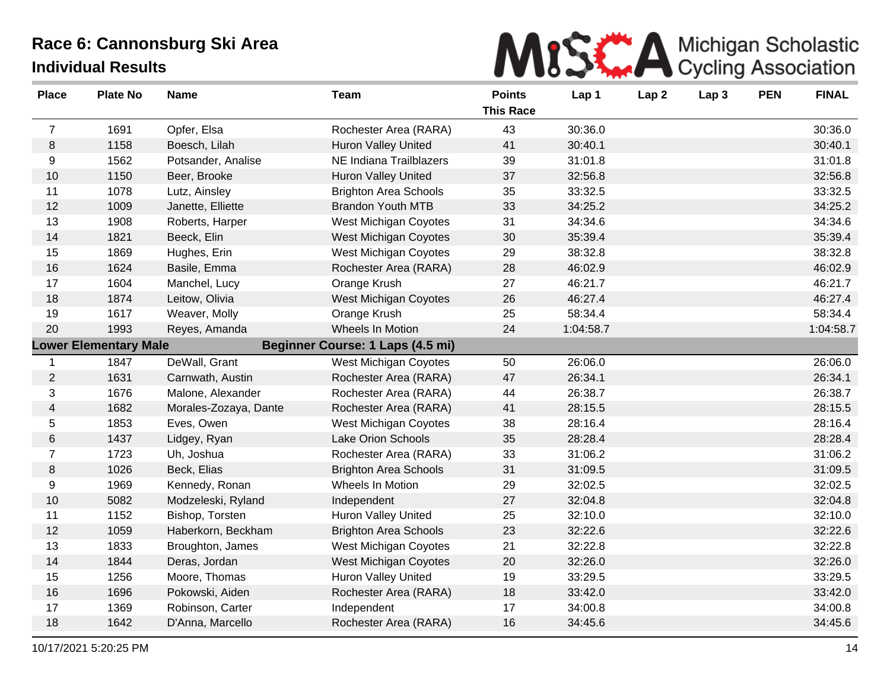

| <b>Place</b>                                                     | <b>Plate No</b> | <b>Name</b>           | <b>Team</b>                    | <b>Points</b><br><b>This Race</b> | Lap 1     | Lap <sub>2</sub> | Lap <sub>3</sub> | <b>PEN</b> | <b>FINAL</b> |
|------------------------------------------------------------------|-----------------|-----------------------|--------------------------------|-----------------------------------|-----------|------------------|------------------|------------|--------------|
| $\overline{7}$                                                   | 1691            | Opfer, Elsa           | Rochester Area (RARA)          | 43                                | 30:36.0   |                  |                  |            | 30:36.0      |
| $\,8\,$                                                          | 1158            | Boesch, Lilah         | <b>Huron Valley United</b>     | 41                                | 30:40.1   |                  |                  |            | 30:40.1      |
| 9                                                                | 1562            | Potsander, Analise    | <b>NE Indiana Trailblazers</b> | 39                                | 31:01.8   |                  |                  |            | 31:01.8      |
| 10                                                               | 1150            | Beer, Brooke          | <b>Huron Valley United</b>     | 37                                | 32:56.8   |                  |                  |            | 32:56.8      |
| 11                                                               | 1078            | Lutz, Ainsley         | <b>Brighton Area Schools</b>   | 35                                | 33:32.5   |                  |                  |            | 33:32.5      |
| 12                                                               | 1009            | Janette, Elliette     | <b>Brandon Youth MTB</b>       | 33                                | 34:25.2   |                  |                  |            | 34:25.2      |
| 13                                                               | 1908            | Roberts, Harper       | West Michigan Coyotes          | 31                                | 34:34.6   |                  |                  |            | 34:34.6      |
| 14                                                               | 1821            | Beeck, Elin           | West Michigan Coyotes          | 30                                | 35:39.4   |                  |                  |            | 35:39.4      |
| 15                                                               | 1869            | Hughes, Erin          | West Michigan Coyotes          | 29                                | 38:32.8   |                  |                  |            | 38:32.8      |
| 16                                                               | 1624            | Basile, Emma          | Rochester Area (RARA)          | 28                                | 46:02.9   |                  |                  |            | 46:02.9      |
| 17                                                               | 1604            | Manchel, Lucy         | Orange Krush                   | 27                                | 46:21.7   |                  |                  |            | 46:21.7      |
| 18                                                               | 1874            | Leitow, Olivia        | West Michigan Coyotes          | 26                                | 46:27.4   |                  |                  |            | 46:27.4      |
| 19                                                               | 1617            | Weaver, Molly         | Orange Krush                   | 25                                | 58:34.4   |                  |                  |            | 58:34.4      |
| 20                                                               | 1993            | Reyes, Amanda         | Wheels In Motion               | 24                                | 1:04:58.7 |                  |                  |            | 1:04:58.7    |
| <b>Lower Elementary Male</b><br>Beginner Course: 1 Laps (4.5 mi) |                 |                       |                                |                                   |           |                  |                  |            |              |
| $\mathbf{1}$                                                     | 1847            | DeWall, Grant         | West Michigan Coyotes          | 50                                | 26:06.0   |                  |                  |            | 26:06.0      |
| $\overline{2}$                                                   | 1631            | Carnwath, Austin      | Rochester Area (RARA)          | 47                                | 26:34.1   |                  |                  |            | 26:34.1      |
| 3                                                                | 1676            | Malone, Alexander     | Rochester Area (RARA)          | 44                                | 26:38.7   |                  |                  |            | 26:38.7      |
| 4                                                                | 1682            | Morales-Zozaya, Dante | Rochester Area (RARA)          | 41                                | 28:15.5   |                  |                  |            | 28:15.5      |
| 5                                                                | 1853            | Eves, Owen            | West Michigan Coyotes          | 38                                | 28:16.4   |                  |                  |            | 28:16.4      |
| 6                                                                | 1437            | Lidgey, Ryan          | Lake Orion Schools             | 35                                | 28:28.4   |                  |                  |            | 28:28.4      |
| $\overline{7}$                                                   | 1723            | Uh, Joshua            | Rochester Area (RARA)          | 33                                | 31:06.2   |                  |                  |            | 31:06.2      |
| $\,8\,$                                                          | 1026            | Beck, Elias           | <b>Brighton Area Schools</b>   | 31                                | 31:09.5   |                  |                  |            | 31:09.5      |
| 9                                                                | 1969            | Kennedy, Ronan        | Wheels In Motion               | 29                                | 32:02.5   |                  |                  |            | 32:02.5      |
| 10                                                               | 5082            | Modzeleski, Ryland    | Independent                    | 27                                | 32:04.8   |                  |                  |            | 32:04.8      |
| 11                                                               | 1152            | Bishop, Torsten       | Huron Valley United            | 25                                | 32:10.0   |                  |                  |            | 32:10.0      |
| 12                                                               | 1059            | Haberkorn, Beckham    | <b>Brighton Area Schools</b>   | 23                                | 32:22.6   |                  |                  |            | 32:22.6      |
| 13                                                               | 1833            | Broughton, James      | West Michigan Coyotes          | 21                                | 32:22.8   |                  |                  |            | 32:22.8      |
| 14                                                               | 1844            | Deras, Jordan         | <b>West Michigan Coyotes</b>   | 20                                | 32:26.0   |                  |                  |            | 32:26.0      |
| 15                                                               | 1256            | Moore, Thomas         | Huron Valley United            | 19                                | 33:29.5   |                  |                  |            | 33:29.5      |
| 16                                                               | 1696            | Pokowski, Aiden       | Rochester Area (RARA)          | 18                                | 33:42.0   |                  |                  |            | 33:42.0      |
| 17                                                               | 1369            | Robinson, Carter      | Independent                    | 17                                | 34:00.8   |                  |                  |            | 34:00.8      |
| 18                                                               | 1642            | D'Anna, Marcello      | Rochester Area (RARA)          | 16                                | 34:45.6   |                  |                  |            | 34:45.6      |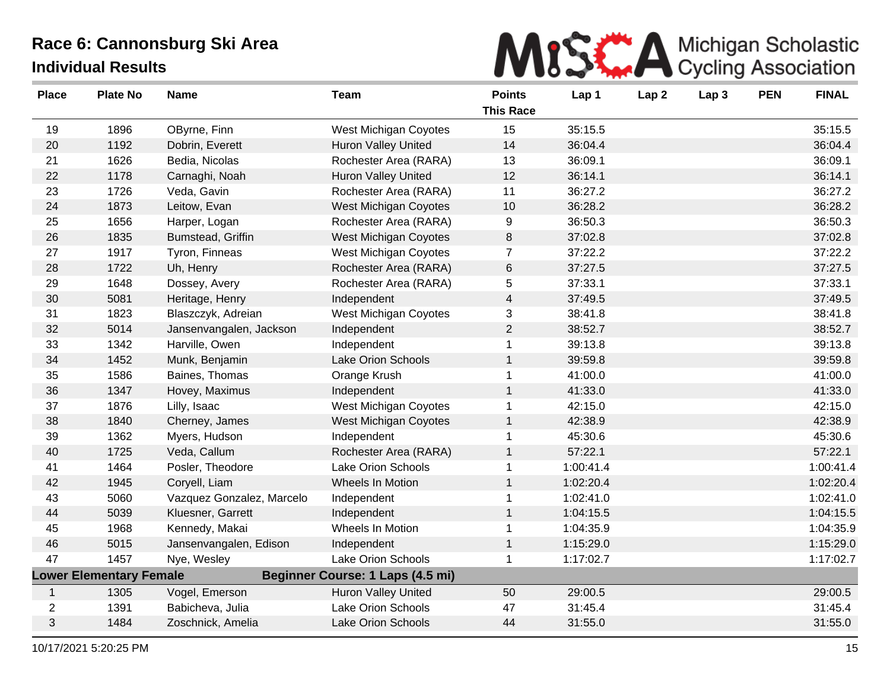

| <b>Place</b>   | <b>Plate No</b>                | <b>Name</b>               | Team                             | <b>Points</b><br><b>This Race</b> | Lap 1     | Lap <sub>2</sub> | Lap <sub>3</sub> | <b>PEN</b> | <b>FINAL</b> |
|----------------|--------------------------------|---------------------------|----------------------------------|-----------------------------------|-----------|------------------|------------------|------------|--------------|
| 19             | 1896                           | OByrne, Finn              | <b>West Michigan Coyotes</b>     | 15                                | 35:15.5   |                  |                  |            | 35:15.5      |
| 20             | 1192                           | Dobrin, Everett           | <b>Huron Valley United</b>       | 14                                | 36:04.4   |                  |                  |            | 36:04.4      |
| 21             | 1626                           | Bedia, Nicolas            | Rochester Area (RARA)            | 13                                | 36:09.1   |                  |                  |            | 36:09.1      |
| 22             | 1178                           | Carnaghi, Noah            | Huron Valley United              | 12                                | 36:14.1   |                  |                  |            | 36:14.1      |
| 23             | 1726                           | Veda, Gavin               | Rochester Area (RARA)            | 11                                | 36:27.2   |                  |                  |            | 36:27.2      |
| 24             | 1873                           | Leitow, Evan              | West Michigan Coyotes            | 10                                | 36:28.2   |                  |                  |            | 36:28.2      |
| 25             | 1656                           | Harper, Logan             | Rochester Area (RARA)            | 9                                 | 36:50.3   |                  |                  |            | 36:50.3      |
| 26             | 1835                           | Bumstead, Griffin         | West Michigan Coyotes            | 8                                 | 37:02.8   |                  |                  |            | 37:02.8      |
| 27             | 1917                           | Tyron, Finneas            | <b>West Michigan Coyotes</b>     | $\overline{7}$                    | 37:22.2   |                  |                  |            | 37:22.2      |
| 28             | 1722                           | Uh, Henry                 | Rochester Area (RARA)            | $\,6\,$                           | 37:27.5   |                  |                  |            | 37:27.5      |
| 29             | 1648                           | Dossey, Avery             | Rochester Area (RARA)            | 5                                 | 37:33.1   |                  |                  |            | 37:33.1      |
| 30             | 5081                           | Heritage, Henry           | Independent                      | $\overline{4}$                    | 37:49.5   |                  |                  |            | 37:49.5      |
| 31             | 1823                           | Blaszczyk, Adreian        | West Michigan Coyotes            | 3                                 | 38:41.8   |                  |                  |            | 38:41.8      |
| 32             | 5014                           | Jansenvangalen, Jackson   | Independent                      | $\overline{2}$                    | 38:52.7   |                  |                  |            | 38:52.7      |
| 33             | 1342                           | Harville, Owen            | Independent                      | $\mathbf{1}$                      | 39:13.8   |                  |                  |            | 39:13.8      |
| 34             | 1452                           | Munk, Benjamin            | Lake Orion Schools               | $\mathbf{1}$                      | 39:59.8   |                  |                  |            | 39:59.8      |
| 35             | 1586                           | Baines, Thomas            | Orange Krush                     | $\mathbf 1$                       | 41:00.0   |                  |                  |            | 41:00.0      |
| 36             | 1347                           | Hovey, Maximus            | Independent                      | $\mathbf{1}$                      | 41:33.0   |                  |                  |            | 41:33.0      |
| 37             | 1876                           | Lilly, Isaac              | <b>West Michigan Coyotes</b>     | 1                                 | 42:15.0   |                  |                  |            | 42:15.0      |
| 38             | 1840                           | Cherney, James            | West Michigan Coyotes            | $\mathbf{1}$                      | 42:38.9   |                  |                  |            | 42:38.9      |
| 39             | 1362                           | Myers, Hudson             | Independent                      | $\mathbf 1$                       | 45:30.6   |                  |                  |            | 45:30.6      |
| 40             | 1725                           | Veda, Callum              | Rochester Area (RARA)            | $\mathbf{1}$                      | 57:22.1   |                  |                  |            | 57:22.1      |
| 41             | 1464                           | Posler, Theodore          | Lake Orion Schools               | 1                                 | 1:00:41.4 |                  |                  |            | 1:00:41.4    |
| 42             | 1945                           | Coryell, Liam             | Wheels In Motion                 | $\mathbf{1}$                      | 1:02:20.4 |                  |                  |            | 1:02:20.4    |
| 43             | 5060                           | Vazquez Gonzalez, Marcelo | Independent                      | $\mathbf{1}$                      | 1:02:41.0 |                  |                  |            | 1:02:41.0    |
| 44             | 5039                           | Kluesner, Garrett         | Independent                      | $\mathbf{1}$                      | 1:04:15.5 |                  |                  |            | 1:04:15.5    |
| 45             | 1968                           | Kennedy, Makai            | Wheels In Motion                 | 1                                 | 1:04:35.9 |                  |                  |            | 1:04:35.9    |
| 46             | 5015                           | Jansenvangalen, Edison    | Independent                      | $\mathbf{1}$                      | 1:15:29.0 |                  |                  |            | 1:15:29.0    |
| 47             | 1457                           | Nye, Wesley               | <b>Lake Orion Schools</b>        | $\mathbf{1}$                      | 1:17:02.7 |                  |                  |            | 1:17:02.7    |
|                | <b>Lower Elementary Female</b> |                           | Beginner Course: 1 Laps (4.5 mi) |                                   |           |                  |                  |            |              |
| $\mathbf{1}$   | 1305                           | Vogel, Emerson            | <b>Huron Valley United</b>       | 50                                | 29:00.5   |                  |                  |            | 29:00.5      |
| $\overline{2}$ | 1391                           | Babicheva, Julia          | <b>Lake Orion Schools</b>        | 47                                | 31:45.4   |                  |                  |            | 31:45.4      |
| 3              | 1484                           | Zoschnick, Amelia         | Lake Orion Schools               | 44                                | 31:55.0   |                  |                  |            | 31:55.0      |